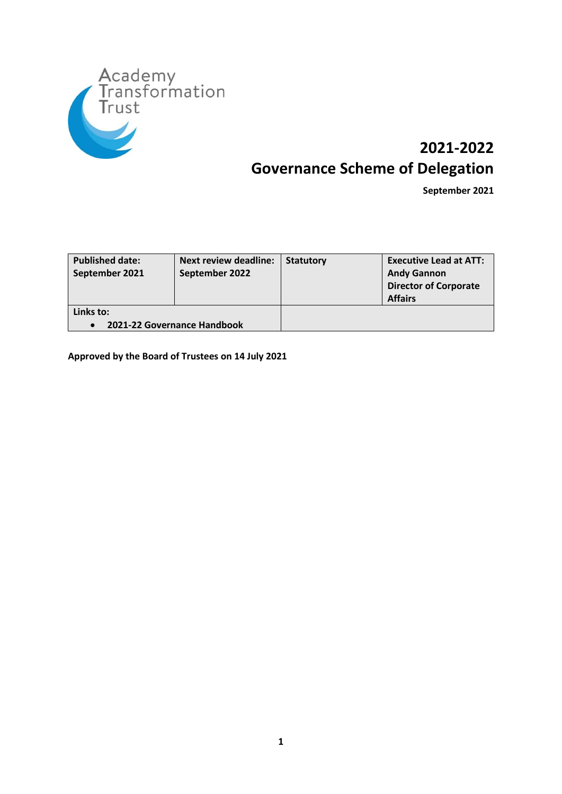

# **2021-2022 Governance Scheme of Delegation**

**September 2021**

| <b>Published date:</b><br>September 2021 | <b>Next review deadline:</b><br>September 2022 | <b>Statutory</b> | <b>Executive Lead at ATT:</b><br><b>Andy Gannon</b><br><b>Director of Corporate</b><br><b>Affairs</b> |
|------------------------------------------|------------------------------------------------|------------------|-------------------------------------------------------------------------------------------------------|
| Links to:                                | 2021-22 Governance Handbook                    |                  |                                                                                                       |

**Approved by the Board of Trustees on 14 July 2021**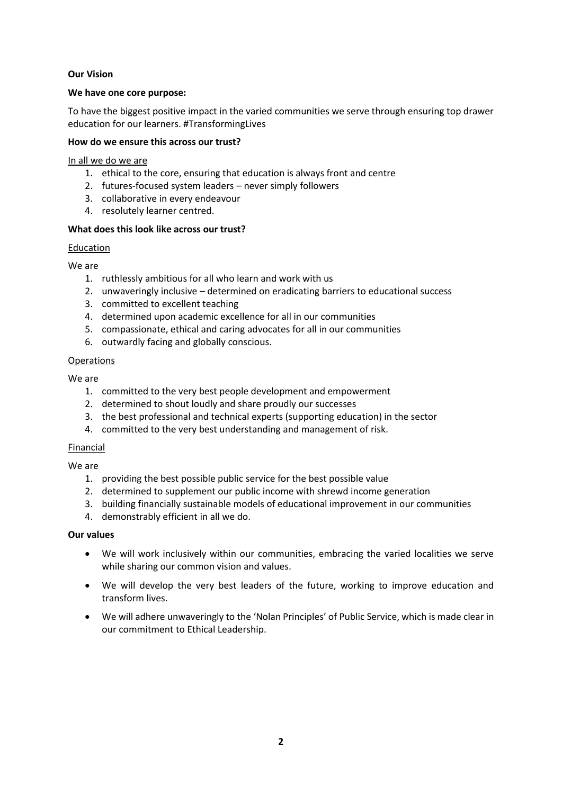#### **Our Vision**

#### **We have one core purpose:**

To have the biggest positive impact in the varied communities we serve through ensuring top drawer education for our learners. #TransformingLives

#### **How do we ensure this across our trust?**

In all we do we are

- 1. ethical to the core, ensuring that education is always front and centre
- 2. futures-focused system leaders never simply followers
- 3. collaborative in every endeavour
- 4. resolutely learner centred.

# **What does this look like across our trust?**

# Education

We are

- 1. ruthlessly ambitious for all who learn and work with us
- 2. unwaveringly inclusive determined on eradicating barriers to educational success
- 3. committed to excellent teaching
- 4. determined upon academic excellence for all in our communities
- 5. compassionate, ethical and caring advocates for all in our communities
- 6. outwardly facing and globally conscious.

# Operations

We are

- 1. committed to the very best people development and empowerment
- 2. determined to shout loudly and share proudly our successes
- 3. the best professional and technical experts (supporting education) in the sector
- 4. committed to the very best understanding and management of risk.

#### Financial

We are

- 1. providing the best possible public service for the best possible value
- 2. determined to supplement our public income with shrewd income generation
- 3. building financially sustainable models of educational improvement in our communities
- 4. demonstrably efficient in all we do.

# **Our values**

- We will work inclusively within our communities, embracing the varied localities we serve while sharing our common vision and values.
- We will develop the very best leaders of the future, working to improve education and transform lives.
- We will adhere unwaveringly to the 'Nolan Principles' of Public Service, which is made clear in our commitment to Ethical Leadership.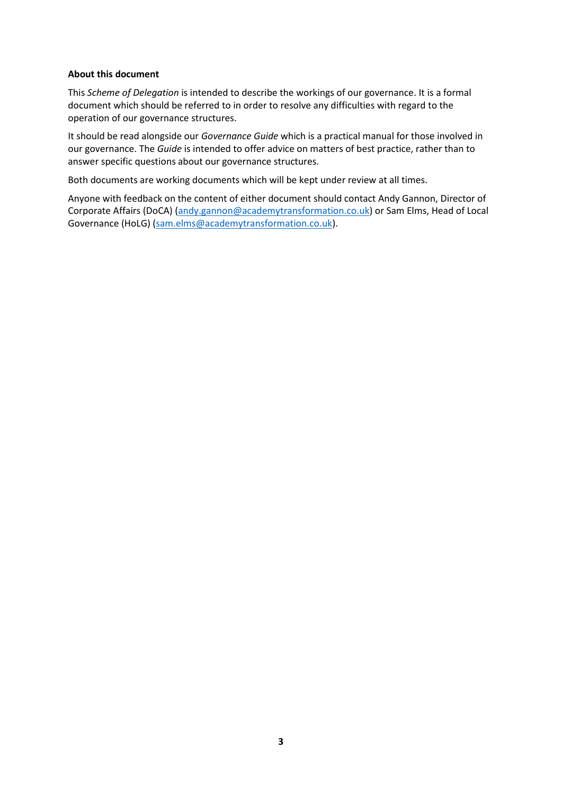#### **About this document**

This *Scheme of Delegation* is intended to describe the workings of our governance. It is a formal document which should be referred to in order to resolve any difficulties with regard to the operation of our governance structures.

It should be read alongside our *Governance Guide* which is a practical manual for those involved in our governance. The *Guide* is intended to offer advice on matters of best practice, rather than to answer specific questions about our governance structures.

Both documents are working documents which will be kept under review at all times.

Anyone with feedback on the content of either document should contact Andy Gannon, Director of Corporate Affairs (DoCA) [\(andy.gannon@academytransformation.co.uk\)](mailto:andy.gannon@academytransformation.co.uk) or Sam Elms, Head of Local Governance (HoLG) [\(sam.elms@academytransformation.co.uk\)](mailto:sam.elms@academytransformation.co.uk).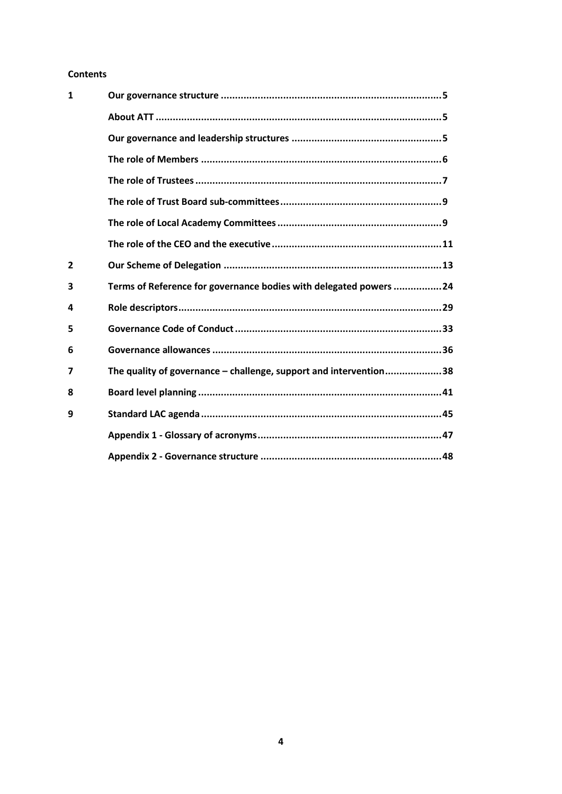#### **Contents**

| $\mathbf{1}$   |                                                                   |
|----------------|-------------------------------------------------------------------|
|                |                                                                   |
|                |                                                                   |
|                |                                                                   |
|                |                                                                   |
|                |                                                                   |
|                |                                                                   |
|                |                                                                   |
| $\overline{2}$ |                                                                   |
| 3              | Terms of Reference for governance bodies with delegated powers 24 |
| 4              |                                                                   |
| 5              |                                                                   |
| 6              |                                                                   |
| 7              | The quality of governance - challenge, support and intervention38 |
| 8              |                                                                   |
| 9              |                                                                   |
|                |                                                                   |
|                |                                                                   |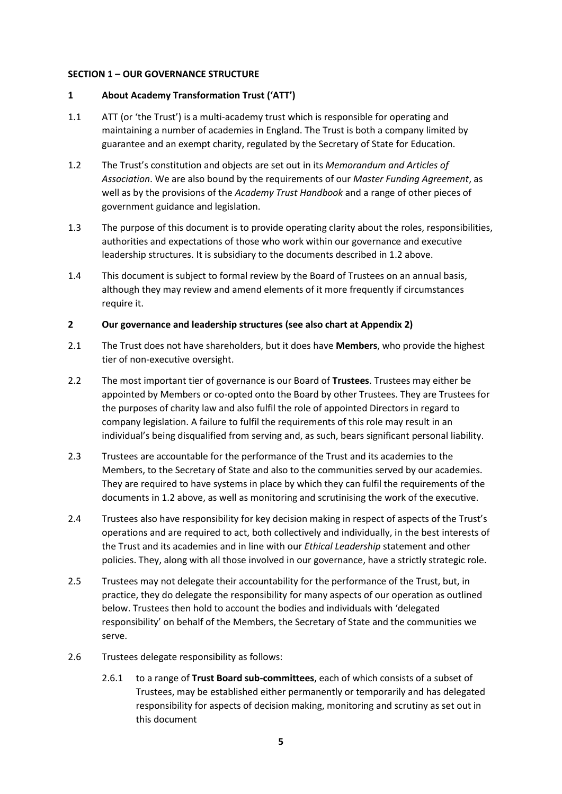#### **SECTION 1 – OUR GOVERNANCE STRUCTURE**

#### **1 About Academy Transformation Trust ('ATT')**

- 1.1 ATT (or 'the Trust') is a multi-academy trust which is responsible for operating and maintaining a number of academies in England. The Trust is both a company limited by guarantee and an exempt charity, regulated by the Secretary of State for Education.
- 1.2 The Trust's constitution and objects are set out in its *Memorandum and Articles of Association*. We are also bound by the requirements of our *Master Funding Agreement*, as well as by the provisions of the *Academy Trust Handbook* and a range of other pieces of government guidance and legislation.
- 1.3 The purpose of this document is to provide operating clarity about the roles, responsibilities, authorities and expectations of those who work within our governance and executive leadership structures. It is subsidiary to the documents described in 1.2 above.
- 1.4 This document is subject to formal review by the Board of Trustees on an annual basis, although they may review and amend elements of it more frequently if circumstances require it.

#### **2 Our governance and leadership structures (see also chart at Appendix 2)**

- 2.1 The Trust does not have shareholders, but it does have **Members**, who provide the highest tier of non-executive oversight.
- 2.2 The most important tier of governance is our Board of **Trustees**. Trustees may either be appointed by Members or co-opted onto the Board by other Trustees. They are Trustees for the purposes of charity law and also fulfil the role of appointed Directors in regard to company legislation. A failure to fulfil the requirements of this role may result in an individual's being disqualified from serving and, as such, bears significant personal liability.
- 2.3 Trustees are accountable for the performance of the Trust and its academies to the Members, to the Secretary of State and also to the communities served by our academies. They are required to have systems in place by which they can fulfil the requirements of the documents in 1.2 above, as well as monitoring and scrutinising the work of the executive.
- 2.4 Trustees also have responsibility for key decision making in respect of aspects of the Trust's operations and are required to act, both collectively and individually, in the best interests of the Trust and its academies and in line with our *Ethical Leadership* statement and other policies. They, along with all those involved in our governance, have a strictly strategic role.
- 2.5 Trustees may not delegate their accountability for the performance of the Trust, but, in practice, they do delegate the responsibility for many aspects of our operation as outlined below. Trustees then hold to account the bodies and individuals with 'delegated responsibility' on behalf of the Members, the Secretary of State and the communities we serve.
- 2.6 Trustees delegate responsibility as follows:
	- 2.6.1 to a range of **Trust Board sub-committees**, each of which consists of a subset of Trustees, may be established either permanently or temporarily and has delegated responsibility for aspects of decision making, monitoring and scrutiny as set out in this document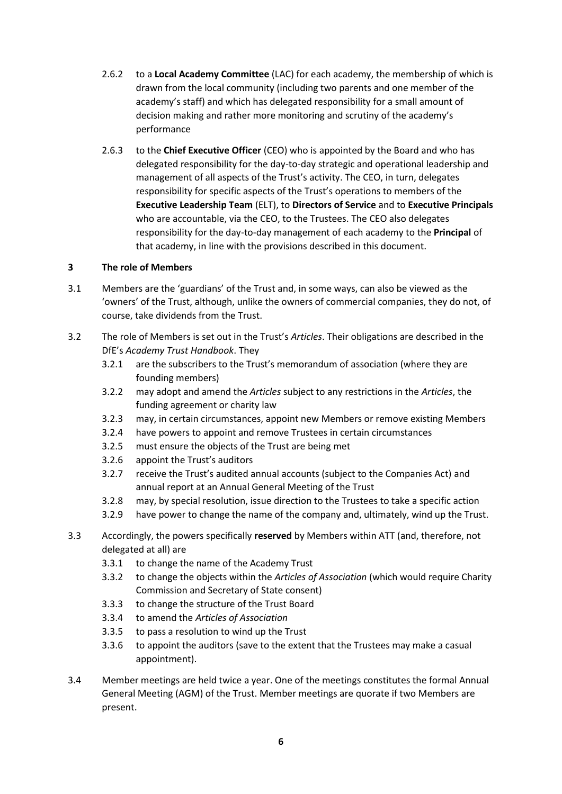- 2.6.2 to a **Local Academy Committee** (LAC) for each academy, the membership of which is drawn from the local community (including two parents and one member of the academy's staff) and which has delegated responsibility for a small amount of decision making and rather more monitoring and scrutiny of the academy's performance
- 2.6.3 to the **Chief Executive Officer** (CEO) who is appointed by the Board and who has delegated responsibility for the day-to-day strategic and operational leadership and management of all aspects of the Trust's activity. The CEO, in turn, delegates responsibility for specific aspects of the Trust's operations to members of the **Executive Leadership Team** (ELT), to **Directors of Service** and to **Executive Principals** who are accountable, via the CEO, to the Trustees. The CEO also delegates responsibility for the day-to-day management of each academy to the **Principal** of that academy, in line with the provisions described in this document.

# **3 The role of Members**

- 3.1 Members are the 'guardians' of the Trust and, in some ways, can also be viewed as the 'owners' of the Trust, although, unlike the owners of commercial companies, they do not, of course, take dividends from the Trust.
- 3.2 The role of Members is set out in the Trust's *Articles*. Their obligations are described in the DfE's *Academy Trust Handbook*. They
	- 3.2.1 are the subscribers to the Trust's memorandum of association (where they are founding members)
	- 3.2.2 may adopt and amend the *Articles* subject to any restrictions in the *Articles*, the funding agreement or charity law
	- 3.2.3 may, in certain circumstances, appoint new Members or remove existing Members
	- 3.2.4 have powers to appoint and remove Trustees in certain circumstances
	- 3.2.5 must ensure the objects of the Trust are being met
	- 3.2.6 appoint the Trust's auditors
	- 3.2.7 receive the Trust's audited annual accounts (subject to the Companies Act) and annual report at an Annual General Meeting of the Trust
	- 3.2.8 may, by special resolution, issue direction to the Trustees to take a specific action
	- 3.2.9 have power to change the name of the company and, ultimately, wind up the Trust.
- 3.3 Accordingly, the powers specifically **reserved** by Members within ATT (and, therefore, not delegated at all) are
	- 3.3.1 to change the name of the Academy Trust
	- 3.3.2 to change the objects within the *Articles of Association* (which would require Charity Commission and Secretary of State consent)
	- 3.3.3 to change the structure of the Trust Board
	- 3.3.4 to amend the *Articles of Association*
	- 3.3.5 to pass a resolution to wind up the Trust
	- 3.3.6 to appoint the auditors (save to the extent that the Trustees may make a casual appointment).
- 3.4 Member meetings are held twice a year. One of the meetings constitutes the formal Annual General Meeting (AGM) of the Trust. Member meetings are quorate if two Members are present.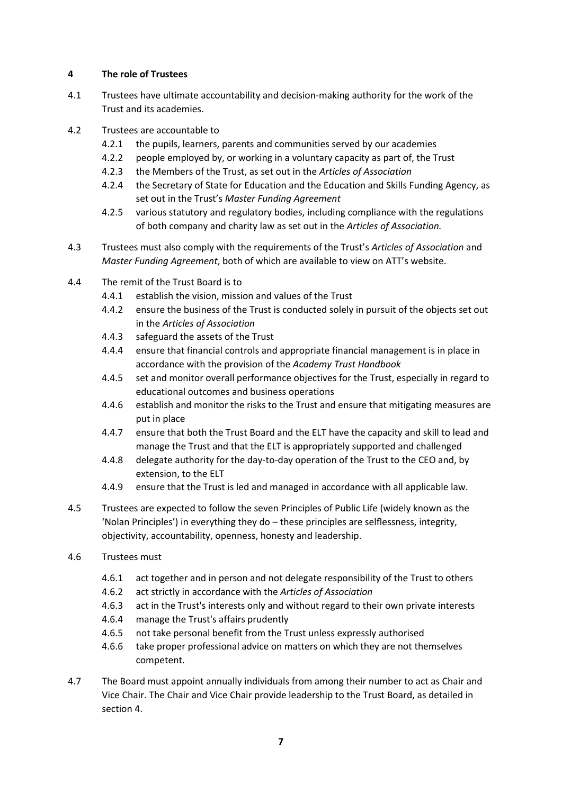# **4 The role of Trustees**

- 4.1 Trustees have ultimate accountability and decision-making authority for the work of the Trust and its academies.
- 4.2 Trustees are accountable to
	- 4.2.1 the pupils, learners, parents and communities served by our academies
	- 4.2.2 people employed by, or working in a voluntary capacity as part of, the Trust
	- 4.2.3 the Members of the Trust, as set out in the *Articles of Association*
	- 4.2.4 the Secretary of State for Education and the Education and Skills Funding Agency, as set out in the Trust's *Master Funding Agreement*
	- 4.2.5 various statutory and regulatory bodies, including compliance with the regulations of both company and charity law as set out in the *Articles of Association.*
- 4.3 Trustees must also comply with the requirements of the Trust's *Articles of Association* and *Master Funding Agreement*, both of which are available to view on ATT's website.
- 4.4 The remit of the Trust Board is to
	- 4.4.1 establish the vision, mission and values of the Trust
	- 4.4.2 ensure the business of the Trust is conducted solely in pursuit of the objects set out in the *Articles of Association*
	- 4.4.3 safeguard the assets of the Trust
	- 4.4.4 ensure that financial controls and appropriate financial management is in place in accordance with the provision of the *Academy Trust Handbook*
	- 4.4.5 set and monitor overall performance objectives for the Trust, especially in regard to educational outcomes and business operations
	- 4.4.6 establish and monitor the risks to the Trust and ensure that mitigating measures are put in place
	- 4.4.7 ensure that both the Trust Board and the ELT have the capacity and skill to lead and manage the Trust and that the ELT is appropriately supported and challenged
	- 4.4.8 delegate authority for the day-to-day operation of the Trust to the CEO and, by extension, to the ELT
	- 4.4.9 ensure that the Trust is led and managed in accordance with all applicable law.
- 4.5 Trustees are expected to follow the seven Principles of Public Life (widely known as the 'Nolan Principles') in everything they do – these principles are selflessness, integrity, objectivity, accountability, openness, honesty and leadership.
- 4.6 Trustees must
	- 4.6.1 act together and in person and not delegate responsibility of the Trust to others
	- 4.6.2 act strictly in accordance with the *Articles of Association*
	- 4.6.3 act in the Trust's interests only and without regard to their own private interests
	- 4.6.4 manage the Trust's affairs prudently
	- 4.6.5 not take personal benefit from the Trust unless expressly authorised
	- 4.6.6 take proper professional advice on matters on which they are not themselves competent.
- 4.7 The Board must appoint annually individuals from among their number to act as Chair and Vice Chair. The Chair and Vice Chair provide leadership to the Trust Board, as detailed in section 4.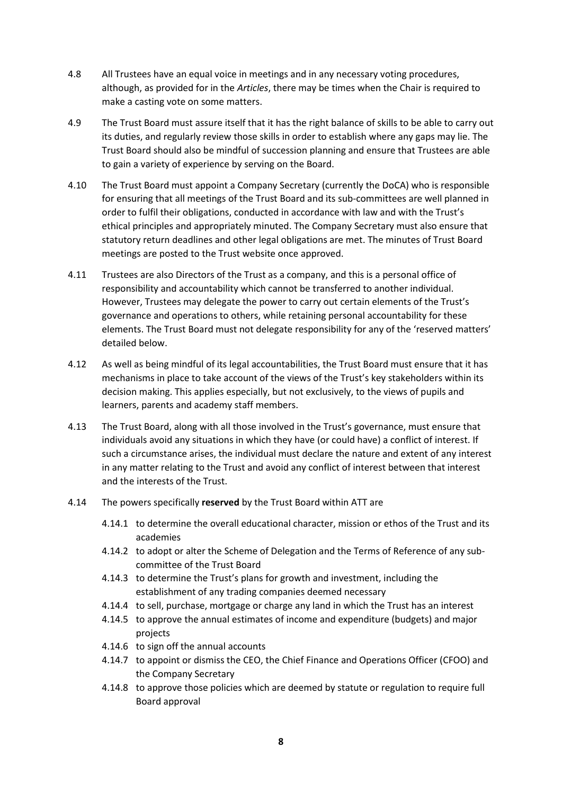- 4.8 All Trustees have an equal voice in meetings and in any necessary voting procedures, although, as provided for in the *Articles*, there may be times when the Chair is required to make a casting vote on some matters.
- 4.9 The Trust Board must assure itself that it has the right balance of skills to be able to carry out its duties, and regularly review those skills in order to establish where any gaps may lie. The Trust Board should also be mindful of succession planning and ensure that Trustees are able to gain a variety of experience by serving on the Board.
- 4.10 The Trust Board must appoint a Company Secretary (currently the DoCA) who is responsible for ensuring that all meetings of the Trust Board and its sub-committees are well planned in order to fulfil their obligations, conducted in accordance with law and with the Trust's ethical principles and appropriately minuted. The Company Secretary must also ensure that statutory return deadlines and other legal obligations are met. The minutes of Trust Board meetings are posted to the Trust website once approved.
- 4.11 Trustees are also Directors of the Trust as a company, and this is a personal office of responsibility and accountability which cannot be transferred to another individual. However, Trustees may delegate the power to carry out certain elements of the Trust's governance and operations to others, while retaining personal accountability for these elements. The Trust Board must not delegate responsibility for any of the 'reserved matters' detailed below.
- 4.12 As well as being mindful of its legal accountabilities, the Trust Board must ensure that it has mechanisms in place to take account of the views of the Trust's key stakeholders within its decision making. This applies especially, but not exclusively, to the views of pupils and learners, parents and academy staff members.
- 4.13 The Trust Board, along with all those involved in the Trust's governance, must ensure that individuals avoid any situations in which they have (or could have) a conflict of interest. If such a circumstance arises, the individual must declare the nature and extent of any interest in any matter relating to the Trust and avoid any conflict of interest between that interest and the interests of the Trust.
- 4.14 The powers specifically **reserved** by the Trust Board within ATT are
	- 4.14.1 to determine the overall educational character, mission or ethos of the Trust and its academies
	- 4.14.2 to adopt or alter the Scheme of Delegation and the Terms of Reference of any subcommittee of the Trust Board
	- 4.14.3 to determine the Trust's plans for growth and investment, including the establishment of any trading companies deemed necessary
	- 4.14.4 to sell, purchase, mortgage or charge any land in which the Trust has an interest
	- 4.14.5 to approve the annual estimates of income and expenditure (budgets) and major projects
	- 4.14.6 to sign off the annual accounts
	- 4.14.7 to appoint or dismiss the CEO, the Chief Finance and Operations Officer (CFOO) and the Company Secretary
	- 4.14.8 to approve those policies which are deemed by statute or regulation to require full Board approval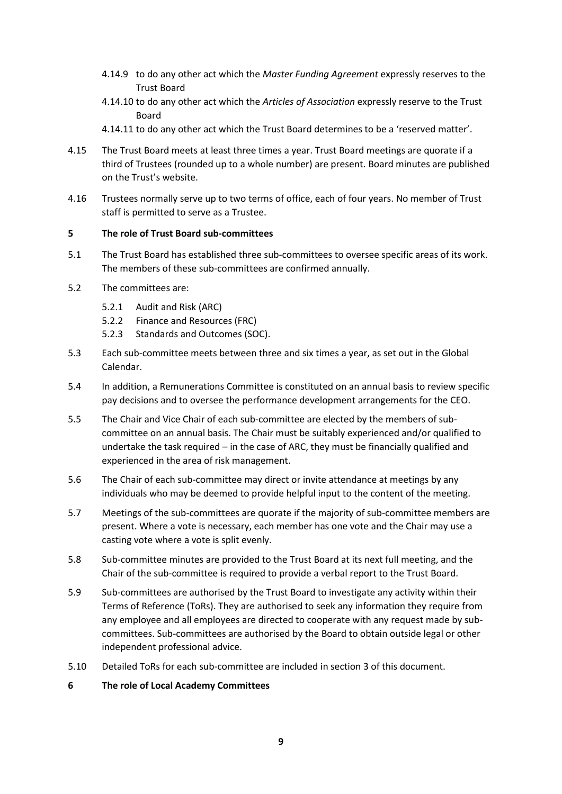- 4.14.9 to do any other act which the *Master Funding Agreement* expressly reserves to the Trust Board
- 4.14.10 to do any other act which the *Articles of Association* expressly reserve to the Trust Board
- 4.14.11 to do any other act which the Trust Board determines to be a 'reserved matter'.
- 4.15 The Trust Board meets at least three times a year. Trust Board meetings are quorate if a third of Trustees (rounded up to a whole number) are present. Board minutes are published on the Trust's website.
- 4.16 Trustees normally serve up to two terms of office, each of four years. No member of Trust staff is permitted to serve as a Trustee.

#### **5 The role of Trust Board sub-committees**

- 5.1 The Trust Board has established three sub-committees to oversee specific areas of its work. The members of these sub-committees are confirmed annually.
- 5.2 The committees are:
	- 5.2.1 Audit and Risk (ARC)
	- 5.2.2 Finance and Resources (FRC)
	- 5.2.3 Standards and Outcomes (SOC).
- 5.3 Each sub-committee meets between three and six times a year, as set out in the Global Calendar.
- 5.4 In addition, a Remunerations Committee is constituted on an annual basis to review specific pay decisions and to oversee the performance development arrangements for the CEO.
- 5.5 The Chair and Vice Chair of each sub-committee are elected by the members of subcommittee on an annual basis. The Chair must be suitably experienced and/or qualified to undertake the task required – in the case of ARC, they must be financially qualified and experienced in the area of risk management.
- 5.6 The Chair of each sub-committee may direct or invite attendance at meetings by any individuals who may be deemed to provide helpful input to the content of the meeting.
- 5.7 Meetings of the sub-committees are quorate if the majority of sub-committee members are present. Where a vote is necessary, each member has one vote and the Chair may use a casting vote where a vote is split evenly.
- 5.8 Sub-committee minutes are provided to the Trust Board at its next full meeting, and the Chair of the sub-committee is required to provide a verbal report to the Trust Board.
- 5.9 Sub-committees are authorised by the Trust Board to investigate any activity within their Terms of Reference (ToRs). They are authorised to seek any information they require from any employee and all employees are directed to cooperate with any request made by subcommittees. Sub-committees are authorised by the Board to obtain outside legal or other independent professional advice.
- 5.10 Detailed ToRs for each sub-committee are included in section 3 of this document.

#### **6 The role of Local Academy Committees**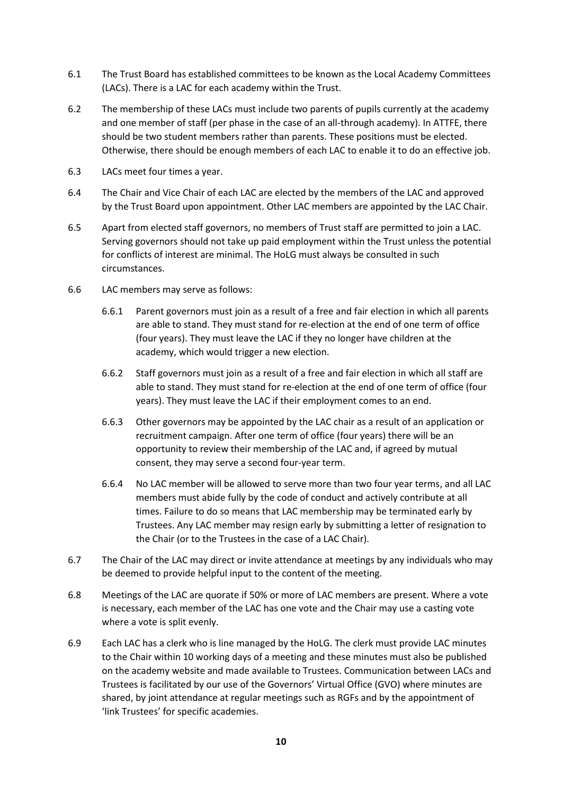- 6.1 The Trust Board has established committees to be known as the Local Academy Committees (LACs). There is a LAC for each academy within the Trust.
- 6.2 The membership of these LACs must include two parents of pupils currently at the academy and one member of staff (per phase in the case of an all-through academy). In ATTFE, there should be two student members rather than parents. These positions must be elected. Otherwise, there should be enough members of each LAC to enable it to do an effective job.
- 6.3 LACs meet four times a year.
- 6.4 The Chair and Vice Chair of each LAC are elected by the members of the LAC and approved by the Trust Board upon appointment. Other LAC members are appointed by the LAC Chair.
- 6.5 Apart from elected staff governors, no members of Trust staff are permitted to join a LAC. Serving governors should not take up paid employment within the Trust unless the potential for conflicts of interest are minimal. The HoLG must always be consulted in such circumstances.
- 6.6 LAC members may serve as follows:
	- 6.6.1 Parent governors must join as a result of a free and fair election in which all parents are able to stand. They must stand for re-election at the end of one term of office (four years). They must leave the LAC if they no longer have children at the academy, which would trigger a new election.
	- 6.6.2 Staff governors must join as a result of a free and fair election in which all staff are able to stand. They must stand for re-election at the end of one term of office (four years). They must leave the LAC if their employment comes to an end.
	- 6.6.3 Other governors may be appointed by the LAC chair as a result of an application or recruitment campaign. After one term of office (four years) there will be an opportunity to review their membership of the LAC and, if agreed by mutual consent, they may serve a second four-year term.
	- 6.6.4 No LAC member will be allowed to serve more than two four year terms, and all LAC members must abide fully by the code of conduct and actively contribute at all times. Failure to do so means that LAC membership may be terminated early by Trustees. Any LAC member may resign early by submitting a letter of resignation to the Chair (or to the Trustees in the case of a LAC Chair).
- 6.7 The Chair of the LAC may direct or invite attendance at meetings by any individuals who may be deemed to provide helpful input to the content of the meeting.
- 6.8 Meetings of the LAC are quorate if 50% or more of LAC members are present. Where a vote is necessary, each member of the LAC has one vote and the Chair may use a casting vote where a vote is split evenly.
- 6.9 Each LAC has a clerk who is line managed by the HoLG. The clerk must provide LAC minutes to the Chair within 10 working days of a meeting and these minutes must also be published on the academy website and made available to Trustees. Communication between LACs and Trustees is facilitated by our use of the Governors' Virtual Office (GVO) where minutes are shared, by joint attendance at regular meetings such as RGFs and by the appointment of 'link Trustees' for specific academies.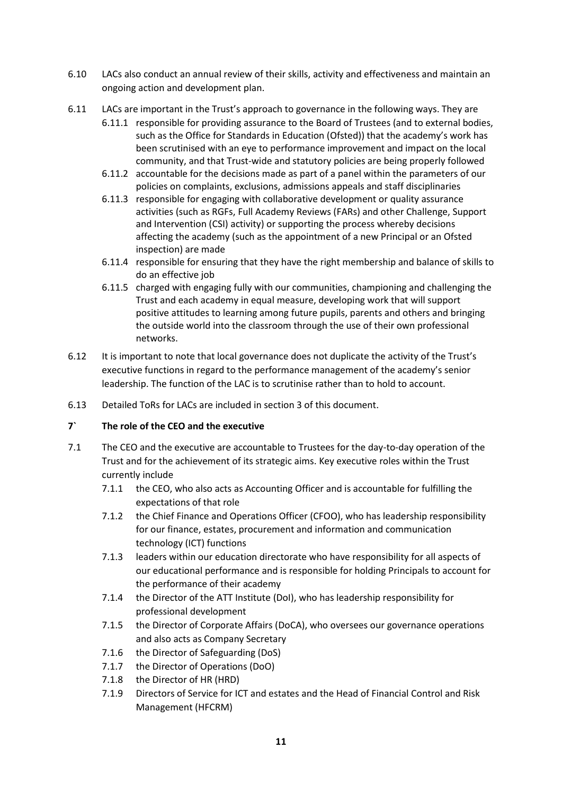- 6.10 LACs also conduct an annual review of their skills, activity and effectiveness and maintain an ongoing action and development plan.
- 6.11 LACs are important in the Trust's approach to governance in the following ways. They are
	- 6.11.1 responsible for providing assurance to the Board of Trustees (and to external bodies, such as the Office for Standards in Education (Ofsted)) that the academy's work has been scrutinised with an eye to performance improvement and impact on the local community, and that Trust-wide and statutory policies are being properly followed
	- 6.11.2 accountable for the decisions made as part of a panel within the parameters of our policies on complaints, exclusions, admissions appeals and staff disciplinaries
	- 6.11.3 responsible for engaging with collaborative development or quality assurance activities (such as RGFs, Full Academy Reviews (FARs) and other Challenge, Support and Intervention (CSI) activity) or supporting the process whereby decisions affecting the academy (such as the appointment of a new Principal or an Ofsted inspection) are made
	- 6.11.4 responsible for ensuring that they have the right membership and balance of skills to do an effective job
	- 6.11.5 charged with engaging fully with our communities, championing and challenging the Trust and each academy in equal measure, developing work that will support positive attitudes to learning among future pupils, parents and others and bringing the outside world into the classroom through the use of their own professional networks.
- 6.12 It is important to note that local governance does not duplicate the activity of the Trust's executive functions in regard to the performance management of the academy's senior leadership. The function of the LAC is to scrutinise rather than to hold to account.
- 6.13 Detailed ToRs for LACs are included in section 3 of this document.

#### **7` The role of the CEO and the executive**

- 7.1 The CEO and the executive are accountable to Trustees for the day-to-day operation of the Trust and for the achievement of its strategic aims. Key executive roles within the Trust currently include
	- 7.1.1 the CEO, who also acts as Accounting Officer and is accountable for fulfilling the expectations of that role
	- 7.1.2 the Chief Finance and Operations Officer (CFOO), who has leadership responsibility for our finance, estates, procurement and information and communication technology (ICT) functions
	- 7.1.3 leaders within our education directorate who have responsibility for all aspects of our educational performance and is responsible for holding Principals to account for the performance of their academy
	- 7.1.4 the Director of the ATT Institute (DoI), who has leadership responsibility for professional development
	- 7.1.5 the Director of Corporate Affairs (DoCA), who oversees our governance operations and also acts as Company Secretary
	- 7.1.6 the Director of Safeguarding (DoS)
	- 7.1.7 the Director of Operations (DoO)
	- 7.1.8 the Director of HR (HRD)
	- 7.1.9 Directors of Service for ICT and estates and the Head of Financial Control and Risk Management (HFCRM)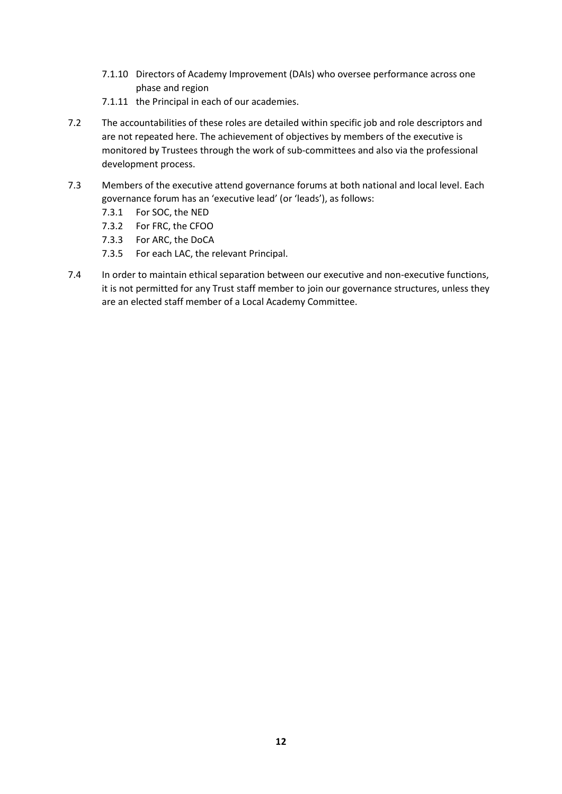- 7.1.10 Directors of Academy Improvement (DAIs) who oversee performance across one phase and region
- 7.1.11 the Principal in each of our academies.
- 7.2 The accountabilities of these roles are detailed within specific job and role descriptors and are not repeated here. The achievement of objectives by members of the executive is monitored by Trustees through the work of sub-committees and also via the professional development process.
- 7.3 Members of the executive attend governance forums at both national and local level. Each governance forum has an 'executive lead' (or 'leads'), as follows:
	- 7.3.1 For SOC, the NED
	- 7.3.2 For FRC, the CFOO
	- 7.3.3 For ARC, the DoCA
	- 7.3.5 For each LAC, the relevant Principal.
- 7.4 In order to maintain ethical separation between our executive and non-executive functions, it is not permitted for any Trust staff member to join our governance structures, unless they are an elected staff member of a Local Academy Committee.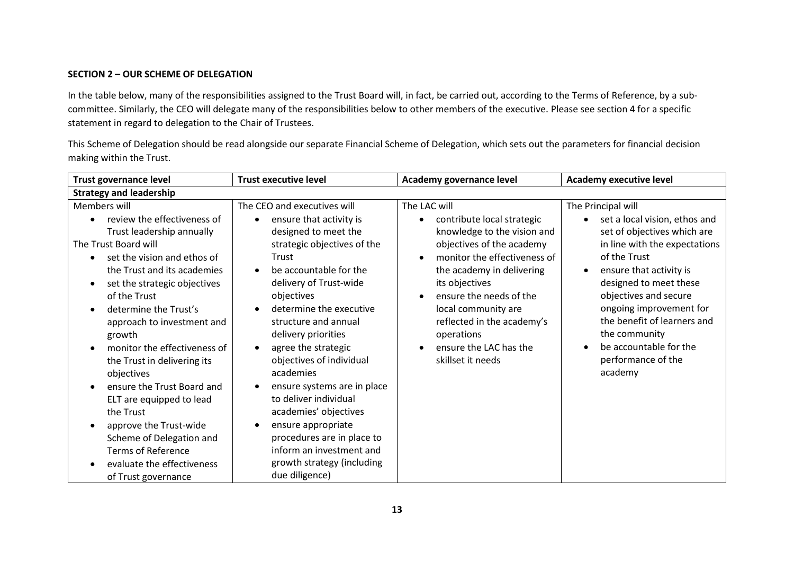#### **SECTION 2 – OUR SCHEME OF DELEGATION**

In the table below, many of the responsibilities assigned to the Trust Board will, in fact, be carried out, according to the Terms of Reference, by a subcommittee. Similarly, the CEO will delegate many of the responsibilities below to other members of the executive. Please see section 4 for a specific statement in regard to delegation to the Chair of Trustees.

This Scheme of Delegation should be read alongside our separate Financial Scheme of Delegation, which sets out the parameters for financial decision making within the Trust.

| <b>Trust governance level</b>                                                                                                                                                                                                                                                                                                                                                                                                                                                                                                                                               | <b>Trust executive level</b>                                                                                                                                                                                                                                                                                                                                                                                                                                                                                                                                                                                         | Academy governance level                                                                                                                                                                                                                                                                                                                                     | <b>Academy executive level</b>                                                                                                                                                                                                                                                                                                                                       |
|-----------------------------------------------------------------------------------------------------------------------------------------------------------------------------------------------------------------------------------------------------------------------------------------------------------------------------------------------------------------------------------------------------------------------------------------------------------------------------------------------------------------------------------------------------------------------------|----------------------------------------------------------------------------------------------------------------------------------------------------------------------------------------------------------------------------------------------------------------------------------------------------------------------------------------------------------------------------------------------------------------------------------------------------------------------------------------------------------------------------------------------------------------------------------------------------------------------|--------------------------------------------------------------------------------------------------------------------------------------------------------------------------------------------------------------------------------------------------------------------------------------------------------------------------------------------------------------|----------------------------------------------------------------------------------------------------------------------------------------------------------------------------------------------------------------------------------------------------------------------------------------------------------------------------------------------------------------------|
| <b>Strategy and leadership</b>                                                                                                                                                                                                                                                                                                                                                                                                                                                                                                                                              |                                                                                                                                                                                                                                                                                                                                                                                                                                                                                                                                                                                                                      |                                                                                                                                                                                                                                                                                                                                                              |                                                                                                                                                                                                                                                                                                                                                                      |
| Members will<br>review the effectiveness of<br>Trust leadership annually<br>The Trust Board will<br>set the vision and ethos of<br>the Trust and its academies<br>set the strategic objectives<br>of the Trust<br>determine the Trust's<br>approach to investment and<br>growth<br>monitor the effectiveness of<br>the Trust in delivering its<br>objectives<br>ensure the Trust Board and<br>ELT are equipped to lead<br>the Trust<br>approve the Trust-wide<br>Scheme of Delegation and<br><b>Terms of Reference</b><br>evaluate the effectiveness<br>of Trust governance | The CEO and executives will<br>ensure that activity is<br>designed to meet the<br>strategic objectives of the<br>Trust<br>be accountable for the<br>$\bullet$<br>delivery of Trust-wide<br>objectives<br>determine the executive<br>$\bullet$<br>structure and annual<br>delivery priorities<br>agree the strategic<br>$\bullet$<br>objectives of individual<br>academies<br>ensure systems are in place<br>$\bullet$<br>to deliver individual<br>academies' objectives<br>ensure appropriate<br>$\bullet$<br>procedures are in place to<br>inform an investment and<br>growth strategy (including<br>due diligence) | The LAC will<br>contribute local strategic<br>$\bullet$<br>knowledge to the vision and<br>objectives of the academy<br>monitor the effectiveness of<br>the academy in delivering<br>its objectives<br>ensure the needs of the<br>$\bullet$<br>local community are<br>reflected in the academy's<br>operations<br>ensure the LAC has the<br>skillset it needs | The Principal will<br>set a local vision, ethos and<br>set of objectives which are<br>in line with the expectations<br>of the Trust<br>ensure that activity is<br>$\bullet$<br>designed to meet these<br>objectives and secure<br>ongoing improvement for<br>the benefit of learners and<br>the community<br>be accountable for the<br>performance of the<br>academy |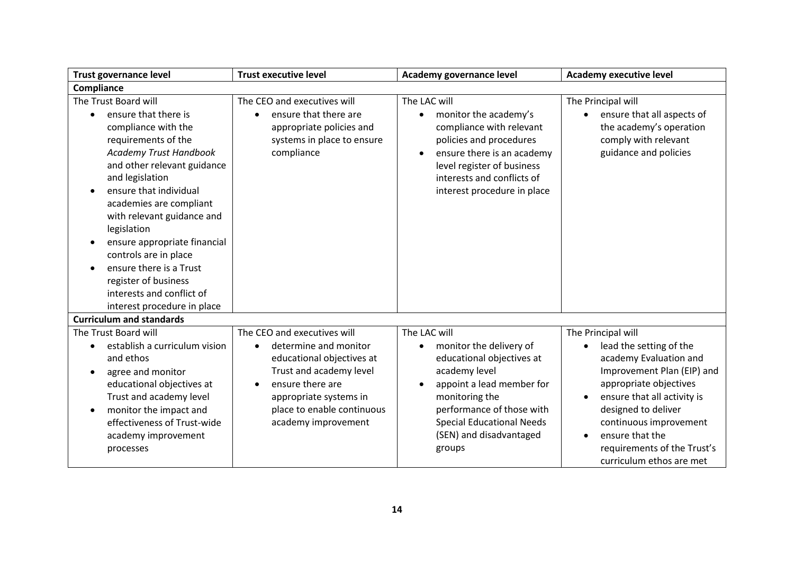| <b>Trust governance level</b>                                                                                                                                                                                                                                                                                                                                                                                                                                 | <b>Trust executive level</b>                                                                                                                                                                                                              | Academy governance level                                                                                                                                                                                                                                             | <b>Academy executive level</b>                                                                                                                                                                                                                                                                |
|---------------------------------------------------------------------------------------------------------------------------------------------------------------------------------------------------------------------------------------------------------------------------------------------------------------------------------------------------------------------------------------------------------------------------------------------------------------|-------------------------------------------------------------------------------------------------------------------------------------------------------------------------------------------------------------------------------------------|----------------------------------------------------------------------------------------------------------------------------------------------------------------------------------------------------------------------------------------------------------------------|-----------------------------------------------------------------------------------------------------------------------------------------------------------------------------------------------------------------------------------------------------------------------------------------------|
| Compliance                                                                                                                                                                                                                                                                                                                                                                                                                                                    |                                                                                                                                                                                                                                           |                                                                                                                                                                                                                                                                      |                                                                                                                                                                                                                                                                                               |
| The Trust Board will<br>ensure that there is<br>compliance with the<br>requirements of the<br>Academy Trust Handbook<br>and other relevant guidance<br>and legislation<br>ensure that individual<br>$\bullet$<br>academies are compliant<br>with relevant guidance and<br>legislation<br>ensure appropriate financial<br>controls are in place<br>ensure there is a Trust<br>register of business<br>interests and conflict of<br>interest procedure in place | The CEO and executives will<br>ensure that there are<br>$\bullet$<br>appropriate policies and<br>systems in place to ensure<br>compliance                                                                                                 | The LAC will<br>monitor the academy's<br>$\bullet$<br>compliance with relevant<br>policies and procedures<br>ensure there is an academy<br>level register of business<br>interests and conflicts of<br>interest procedure in place                                   | The Principal will<br>ensure that all aspects of<br>the academy's operation<br>comply with relevant<br>guidance and policies                                                                                                                                                                  |
| <b>Curriculum and standards</b>                                                                                                                                                                                                                                                                                                                                                                                                                               |                                                                                                                                                                                                                                           |                                                                                                                                                                                                                                                                      |                                                                                                                                                                                                                                                                                               |
| The Trust Board will<br>establish a curriculum vision<br>and ethos<br>agree and monitor<br>$\bullet$<br>educational objectives at<br>Trust and academy level<br>monitor the impact and<br>effectiveness of Trust-wide<br>academy improvement<br>processes                                                                                                                                                                                                     | The CEO and executives will<br>determine and monitor<br>$\bullet$<br>educational objectives at<br>Trust and academy level<br>ensure there are<br>$\bullet$<br>appropriate systems in<br>place to enable continuous<br>academy improvement | The LAC will<br>monitor the delivery of<br>$\bullet$<br>educational objectives at<br>academy level<br>appoint a lead member for<br>$\bullet$<br>monitoring the<br>performance of those with<br><b>Special Educational Needs</b><br>(SEN) and disadvantaged<br>groups | The Principal will<br>lead the setting of the<br>academy Evaluation and<br>Improvement Plan (EIP) and<br>appropriate objectives<br>ensure that all activity is<br>designed to deliver<br>continuous improvement<br>ensure that the<br>requirements of the Trust's<br>curriculum ethos are met |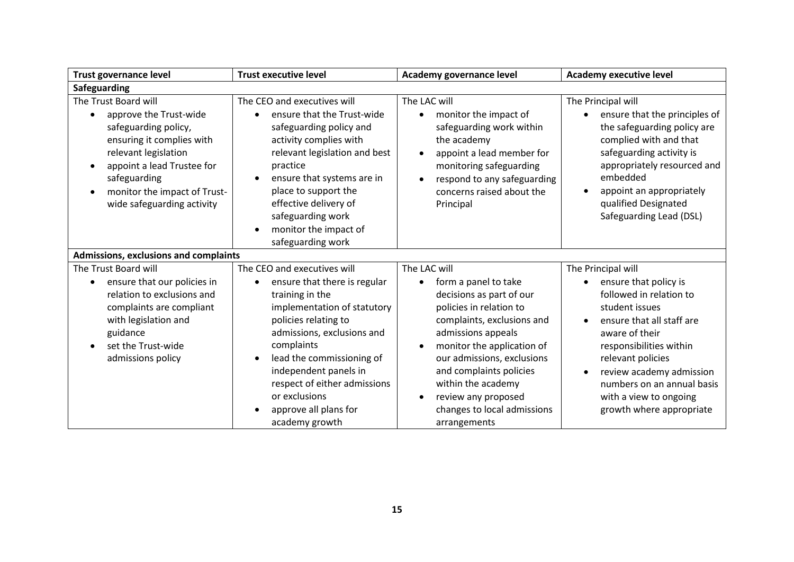| <b>Trust governance level</b>                                                                                                                                                                                                                        | <b>Trust executive level</b>                                                                                                                                                                                                                                                                                                                     | Academy governance level                                                                                                                                                                                                                                                                                                           | <b>Academy executive level</b>                                                                                                                                                                                                                                                                          |
|------------------------------------------------------------------------------------------------------------------------------------------------------------------------------------------------------------------------------------------------------|--------------------------------------------------------------------------------------------------------------------------------------------------------------------------------------------------------------------------------------------------------------------------------------------------------------------------------------------------|------------------------------------------------------------------------------------------------------------------------------------------------------------------------------------------------------------------------------------------------------------------------------------------------------------------------------------|---------------------------------------------------------------------------------------------------------------------------------------------------------------------------------------------------------------------------------------------------------------------------------------------------------|
| Safeguarding                                                                                                                                                                                                                                         |                                                                                                                                                                                                                                                                                                                                                  |                                                                                                                                                                                                                                                                                                                                    |                                                                                                                                                                                                                                                                                                         |
| The Trust Board will<br>approve the Trust-wide<br>$\bullet$<br>safeguarding policy,<br>ensuring it complies with<br>relevant legislation<br>appoint a lead Trustee for<br>safeguarding<br>monitor the impact of Trust-<br>wide safeguarding activity | The CEO and executives will<br>ensure that the Trust-wide<br>$\bullet$<br>safeguarding policy and<br>activity complies with<br>relevant legislation and best<br>practice<br>ensure that systems are in<br>place to support the<br>effective delivery of<br>safeguarding work<br>monitor the impact of<br>$\bullet$<br>safeguarding work          | The LAC will<br>monitor the impact of<br>$\bullet$<br>safeguarding work within<br>the academy<br>appoint a lead member for<br>monitoring safeguarding<br>respond to any safeguarding<br>concerns raised about the<br>Principal                                                                                                     | The Principal will<br>ensure that the principles of<br>$\bullet$<br>the safeguarding policy are<br>complied with and that<br>safeguarding activity is<br>appropriately resourced and<br>embedded<br>appoint an appropriately<br>$\bullet$<br>qualified Designated<br>Safeguarding Lead (DSL)            |
| Admissions, exclusions and complaints                                                                                                                                                                                                                |                                                                                                                                                                                                                                                                                                                                                  |                                                                                                                                                                                                                                                                                                                                    |                                                                                                                                                                                                                                                                                                         |
| The Trust Board will<br>ensure that our policies in<br>relation to exclusions and<br>complaints are compliant<br>with legislation and<br>guidance<br>set the Trust-wide<br>admissions policy                                                         | The CEO and executives will<br>ensure that there is regular<br>training in the<br>implementation of statutory<br>policies relating to<br>admissions, exclusions and<br>complaints<br>lead the commissioning of<br>$\bullet$<br>independent panels in<br>respect of either admissions<br>or exclusions<br>approve all plans for<br>academy growth | The LAC will<br>form a panel to take<br>decisions as part of our<br>policies in relation to<br>complaints, exclusions and<br>admissions appeals<br>monitor the application of<br>our admissions, exclusions<br>and complaints policies<br>within the academy<br>review any proposed<br>changes to local admissions<br>arrangements | The Principal will<br>ensure that policy is<br>followed in relation to<br>student issues<br>ensure that all staff are<br>aware of their<br>responsibilities within<br>relevant policies<br>review academy admission<br>numbers on an annual basis<br>with a view to ongoing<br>growth where appropriate |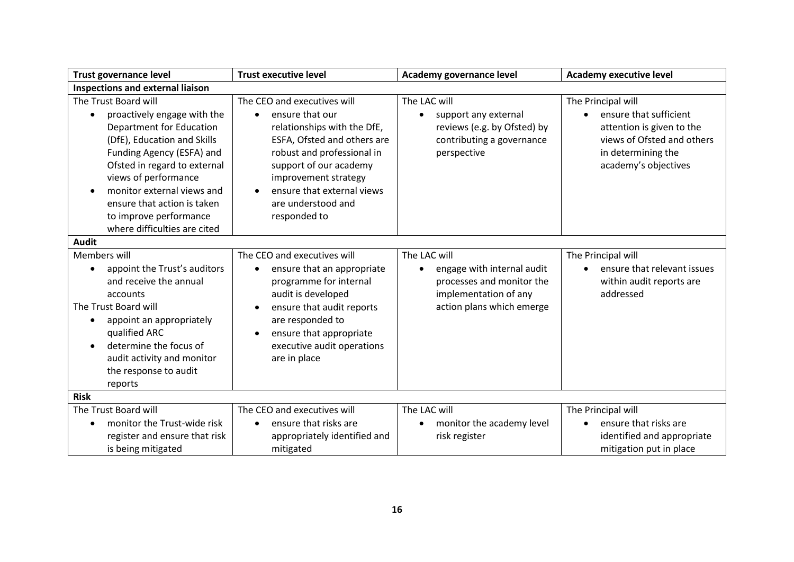| <b>Trust governance level</b>                                                                                                                                                                                                                                                                                                     | <b>Trust executive level</b>                                                                                                                                                                                                                                                  | Academy governance level                                                                                                                   | <b>Academy executive level</b>                                                                                                                        |
|-----------------------------------------------------------------------------------------------------------------------------------------------------------------------------------------------------------------------------------------------------------------------------------------------------------------------------------|-------------------------------------------------------------------------------------------------------------------------------------------------------------------------------------------------------------------------------------------------------------------------------|--------------------------------------------------------------------------------------------------------------------------------------------|-------------------------------------------------------------------------------------------------------------------------------------------------------|
| <b>Inspections and external liaison</b>                                                                                                                                                                                                                                                                                           |                                                                                                                                                                                                                                                                               |                                                                                                                                            |                                                                                                                                                       |
| The Trust Board will<br>proactively engage with the<br><b>Department for Education</b><br>(DfE), Education and Skills<br>Funding Agency (ESFA) and<br>Ofsted in regard to external<br>views of performance<br>monitor external views and<br>ensure that action is taken<br>to improve performance<br>where difficulties are cited | The CEO and executives will<br>ensure that our<br>$\bullet$<br>relationships with the DfE,<br>ESFA, Ofsted and others are<br>robust and professional in<br>support of our academy<br>improvement strategy<br>ensure that external views<br>are understood and<br>responded to | The LAC will<br>support any external<br>reviews (e.g. by Ofsted) by<br>contributing a governance<br>perspective                            | The Principal will<br>ensure that sufficient<br>attention is given to the<br>views of Ofsted and others<br>in determining the<br>academy's objectives |
| <b>Audit</b>                                                                                                                                                                                                                                                                                                                      |                                                                                                                                                                                                                                                                               |                                                                                                                                            |                                                                                                                                                       |
| Members will<br>appoint the Trust's auditors<br>and receive the annual<br>accounts<br>The Trust Board will<br>appoint an appropriately<br>$\bullet$<br>qualified ARC<br>determine the focus of<br>$\bullet$<br>audit activity and monitor<br>the response to audit<br>reports                                                     | The CEO and executives will<br>ensure that an appropriate<br>$\bullet$<br>programme for internal<br>audit is developed<br>ensure that audit reports<br>$\bullet$<br>are responded to<br>ensure that appropriate<br>$\bullet$<br>executive audit operations<br>are in place    | The LAC will<br>engage with internal audit<br>$\bullet$<br>processes and monitor the<br>implementation of any<br>action plans which emerge | The Principal will<br>ensure that relevant issues<br>within audit reports are<br>addressed                                                            |
| <b>Risk</b>                                                                                                                                                                                                                                                                                                                       |                                                                                                                                                                                                                                                                               |                                                                                                                                            |                                                                                                                                                       |
| The Trust Board will<br>monitor the Trust-wide risk<br>register and ensure that risk<br>is being mitigated                                                                                                                                                                                                                        | The CEO and executives will<br>ensure that risks are<br>$\bullet$<br>appropriately identified and<br>mitigated                                                                                                                                                                | The LAC will<br>monitor the academy level<br>risk register                                                                                 | The Principal will<br>ensure that risks are<br>identified and appropriate<br>mitigation put in place                                                  |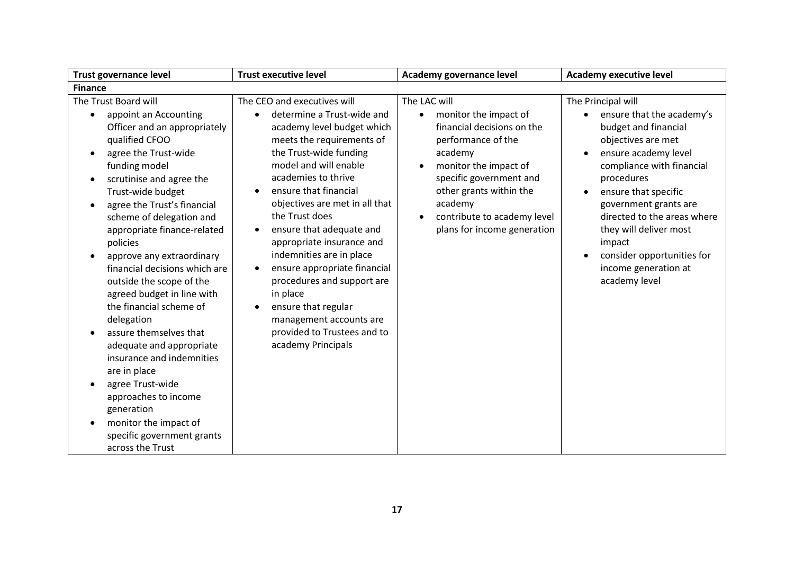| <b>Trust governance level</b>                                                                                                                                                                                                                                                                                                                                                                                                                                                                                                                                                                                                                                                                                                                                | <b>Trust executive level</b>                                                                                                                                                                                                                                                                                                                                                                                                                                                                                                                                                             | Academy governance level                                                                                                                                                                                                                                                  | <b>Academy executive level</b>                                                                                                                                                                                                                                                                                                                              |
|--------------------------------------------------------------------------------------------------------------------------------------------------------------------------------------------------------------------------------------------------------------------------------------------------------------------------------------------------------------------------------------------------------------------------------------------------------------------------------------------------------------------------------------------------------------------------------------------------------------------------------------------------------------------------------------------------------------------------------------------------------------|------------------------------------------------------------------------------------------------------------------------------------------------------------------------------------------------------------------------------------------------------------------------------------------------------------------------------------------------------------------------------------------------------------------------------------------------------------------------------------------------------------------------------------------------------------------------------------------|---------------------------------------------------------------------------------------------------------------------------------------------------------------------------------------------------------------------------------------------------------------------------|-------------------------------------------------------------------------------------------------------------------------------------------------------------------------------------------------------------------------------------------------------------------------------------------------------------------------------------------------------------|
| <b>Finance</b>                                                                                                                                                                                                                                                                                                                                                                                                                                                                                                                                                                                                                                                                                                                                               |                                                                                                                                                                                                                                                                                                                                                                                                                                                                                                                                                                                          |                                                                                                                                                                                                                                                                           |                                                                                                                                                                                                                                                                                                                                                             |
| The Trust Board will<br>appoint an Accounting<br>Officer and an appropriately<br>qualified CFOO<br>agree the Trust-wide<br>$\bullet$<br>funding model<br>scrutinise and agree the<br>$\bullet$<br>Trust-wide budget<br>agree the Trust's financial<br>$\bullet$<br>scheme of delegation and<br>appropriate finance-related<br>policies<br>approve any extraordinary<br>financial decisions which are<br>outside the scope of the<br>agreed budget in line with<br>the financial scheme of<br>delegation<br>assure themselves that<br>adequate and appropriate<br>insurance and indemnities<br>are in place<br>agree Trust-wide<br>$\bullet$<br>approaches to income<br>generation<br>monitor the impact of<br>specific government grants<br>across the Trust | The CEO and executives will<br>determine a Trust-wide and<br>$\bullet$<br>academy level budget which<br>meets the requirements of<br>the Trust-wide funding<br>model and will enable<br>academies to thrive<br>ensure that financial<br>objectives are met in all that<br>the Trust does<br>ensure that adequate and<br>$\bullet$<br>appropriate insurance and<br>indemnities are in place<br>ensure appropriate financial<br>procedures and support are<br>in place<br>ensure that regular<br>$\bullet$<br>management accounts are<br>provided to Trustees and to<br>academy Principals | The LAC will<br>monitor the impact of<br>$\bullet$<br>financial decisions on the<br>performance of the<br>academy<br>monitor the impact of<br>specific government and<br>other grants within the<br>academy<br>contribute to academy level<br>plans for income generation | The Principal will<br>ensure that the academy's<br>budget and financial<br>objectives are met<br>ensure academy level<br>compliance with financial<br>procedures<br>ensure that specific<br>government grants are<br>directed to the areas where<br>they will deliver most<br>impact<br>consider opportunities for<br>income generation at<br>academy level |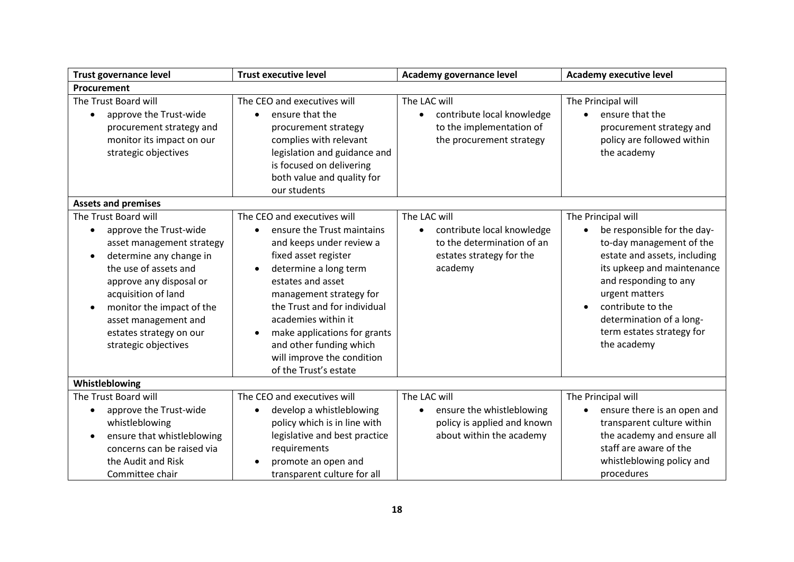| <b>Trust governance level</b>                                                                                                                                                                                                                                                                          | <b>Trust executive level</b>                                                                                                                                                                                                                                                                                                                                                              | Academy governance level                                                                                                     | <b>Academy executive level</b>                                                                                                                                                                                                                                                                   |
|--------------------------------------------------------------------------------------------------------------------------------------------------------------------------------------------------------------------------------------------------------------------------------------------------------|-------------------------------------------------------------------------------------------------------------------------------------------------------------------------------------------------------------------------------------------------------------------------------------------------------------------------------------------------------------------------------------------|------------------------------------------------------------------------------------------------------------------------------|--------------------------------------------------------------------------------------------------------------------------------------------------------------------------------------------------------------------------------------------------------------------------------------------------|
| Procurement                                                                                                                                                                                                                                                                                            |                                                                                                                                                                                                                                                                                                                                                                                           |                                                                                                                              |                                                                                                                                                                                                                                                                                                  |
| The Trust Board will<br>approve the Trust-wide<br>procurement strategy and<br>monitor its impact on our<br>strategic objectives                                                                                                                                                                        | The CEO and executives will<br>ensure that the<br>$\bullet$<br>procurement strategy<br>complies with relevant<br>legislation and guidance and<br>is focused on delivering<br>both value and quality for<br>our students                                                                                                                                                                   | The LAC will<br>contribute local knowledge<br>$\bullet$<br>to the implementation of<br>the procurement strategy              | The Principal will<br>ensure that the<br>$\bullet$<br>procurement strategy and<br>policy are followed within<br>the academy                                                                                                                                                                      |
| <b>Assets and premises</b>                                                                                                                                                                                                                                                                             |                                                                                                                                                                                                                                                                                                                                                                                           |                                                                                                                              |                                                                                                                                                                                                                                                                                                  |
| The Trust Board will<br>approve the Trust-wide<br>$\bullet$<br>asset management strategy<br>determine any change in<br>the use of assets and<br>approve any disposal or<br>acquisition of land<br>monitor the impact of the<br>asset management and<br>estates strategy on our<br>strategic objectives | The CEO and executives will<br>ensure the Trust maintains<br>$\bullet$<br>and keeps under review a<br>fixed asset register<br>determine a long term<br>$\bullet$<br>estates and asset<br>management strategy for<br>the Trust and for individual<br>academies within it<br>make applications for grants<br>and other funding which<br>will improve the condition<br>of the Trust's estate | The LAC will<br>contribute local knowledge<br>$\bullet$<br>to the determination of an<br>estates strategy for the<br>academy | The Principal will<br>be responsible for the day-<br>$\bullet$<br>to-day management of the<br>estate and assets, including<br>its upkeep and maintenance<br>and responding to any<br>urgent matters<br>contribute to the<br>determination of a long-<br>term estates strategy for<br>the academy |
| Whistleblowing                                                                                                                                                                                                                                                                                         |                                                                                                                                                                                                                                                                                                                                                                                           |                                                                                                                              |                                                                                                                                                                                                                                                                                                  |
| The Trust Board will<br>approve the Trust-wide<br>whistleblowing<br>ensure that whistleblowing<br>concerns can be raised via<br>the Audit and Risk<br>Committee chair                                                                                                                                  | The CEO and executives will<br>develop a whistleblowing<br>٠<br>policy which is in line with<br>legislative and best practice<br>requirements<br>promote an open and<br>$\bullet$<br>transparent culture for all                                                                                                                                                                          | The LAC will<br>ensure the whistleblowing<br>$\bullet$<br>policy is applied and known<br>about within the academy            | The Principal will<br>ensure there is an open and<br>transparent culture within<br>the academy and ensure all<br>staff are aware of the<br>whistleblowing policy and<br>procedures                                                                                                               |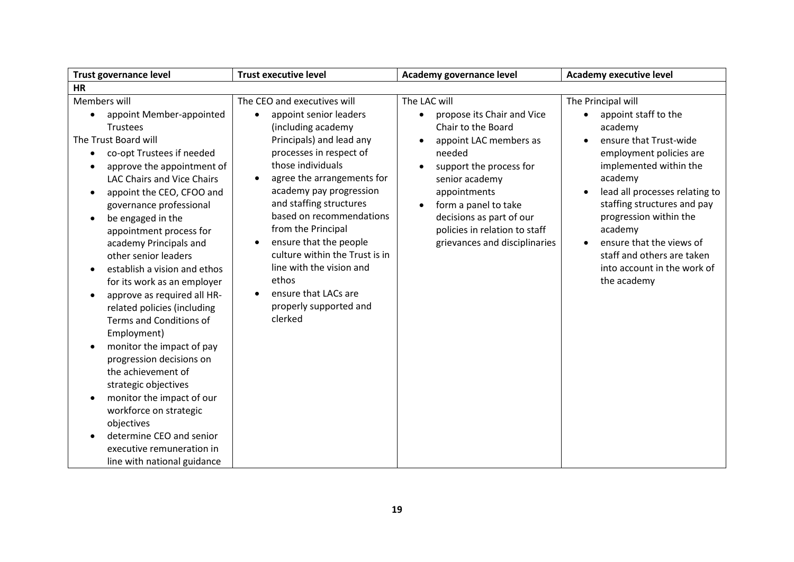| <b>Trust governance level</b>                                                                                                                                                                                                                                                                                                                                                                                                                                                                                                                                                                                                                                                                                                                                                                                                 | <b>Trust executive level</b>                                                                                                                                                                                                                                                                                                                                                                                                                                                                       | Academy governance level                                                                                                                                                                                                                                                                                          | <b>Academy executive level</b>                                                                                                                                                                                                                                                                                                                                             |
|-------------------------------------------------------------------------------------------------------------------------------------------------------------------------------------------------------------------------------------------------------------------------------------------------------------------------------------------------------------------------------------------------------------------------------------------------------------------------------------------------------------------------------------------------------------------------------------------------------------------------------------------------------------------------------------------------------------------------------------------------------------------------------------------------------------------------------|----------------------------------------------------------------------------------------------------------------------------------------------------------------------------------------------------------------------------------------------------------------------------------------------------------------------------------------------------------------------------------------------------------------------------------------------------------------------------------------------------|-------------------------------------------------------------------------------------------------------------------------------------------------------------------------------------------------------------------------------------------------------------------------------------------------------------------|----------------------------------------------------------------------------------------------------------------------------------------------------------------------------------------------------------------------------------------------------------------------------------------------------------------------------------------------------------------------------|
| <b>HR</b>                                                                                                                                                                                                                                                                                                                                                                                                                                                                                                                                                                                                                                                                                                                                                                                                                     |                                                                                                                                                                                                                                                                                                                                                                                                                                                                                                    |                                                                                                                                                                                                                                                                                                                   |                                                                                                                                                                                                                                                                                                                                                                            |
| Members will<br>appoint Member-appointed<br>Trustees<br>The Trust Board will<br>co-opt Trustees if needed<br>$\bullet$<br>approve the appointment of<br><b>LAC Chairs and Vice Chairs</b><br>appoint the CEO, CFOO and<br>$\bullet$<br>governance professional<br>be engaged in the<br>appointment process for<br>academy Principals and<br>other senior leaders<br>establish a vision and ethos<br>$\bullet$<br>for its work as an employer<br>approve as required all HR-<br>٠<br>related policies (including<br>Terms and Conditions of<br>Employment)<br>monitor the impact of pay<br>progression decisions on<br>the achievement of<br>strategic objectives<br>monitor the impact of our<br>workforce on strategic<br>objectives<br>determine CEO and senior<br>executive remuneration in<br>line with national guidance | The CEO and executives will<br>appoint senior leaders<br>$\bullet$<br>(including academy<br>Principals) and lead any<br>processes in respect of<br>those individuals<br>agree the arrangements for<br>$\bullet$<br>academy pay progression<br>and staffing structures<br>based on recommendations<br>from the Principal<br>ensure that the people<br>$\bullet$<br>culture within the Trust is in<br>line with the vision and<br>ethos<br>ensure that LACs are<br>properly supported and<br>clerked | The LAC will<br>propose its Chair and Vice<br>$\bullet$<br>Chair to the Board<br>appoint LAC members as<br>$\bullet$<br>needed<br>support the process for<br>senior academy<br>appointments<br>form a panel to take<br>decisions as part of our<br>policies in relation to staff<br>grievances and disciplinaries | The Principal will<br>appoint staff to the<br>academy<br>ensure that Trust-wide<br>employment policies are<br>implemented within the<br>academy<br>lead all processes relating to<br>staffing structures and pay<br>progression within the<br>academy<br>ensure that the views of<br>$\bullet$<br>staff and others are taken<br>into account in the work of<br>the academy |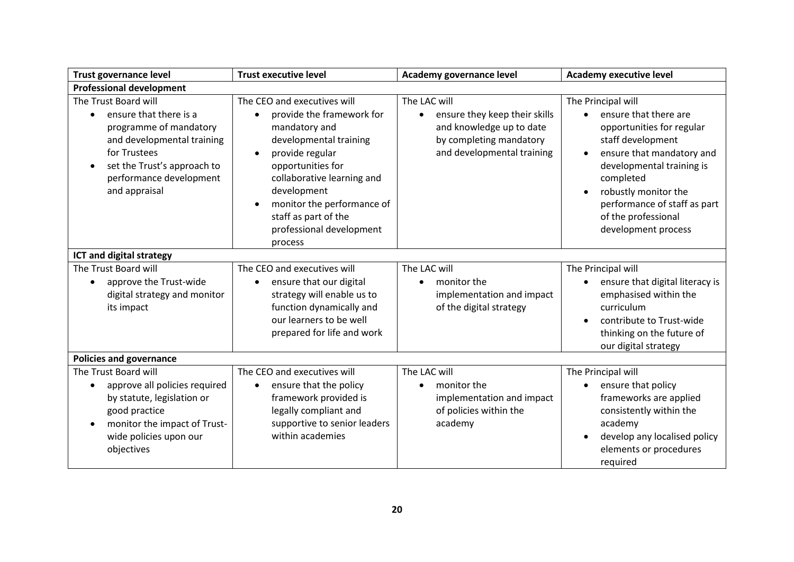| <b>Trust governance level</b>                                                                                                                                                                                  | <b>Trust executive level</b>                                                                                                                                                                                                                                                                                                 | Academy governance level                                                                                                                        | <b>Academy executive level</b>                                                                                                                                                                                                                                             |
|----------------------------------------------------------------------------------------------------------------------------------------------------------------------------------------------------------------|------------------------------------------------------------------------------------------------------------------------------------------------------------------------------------------------------------------------------------------------------------------------------------------------------------------------------|-------------------------------------------------------------------------------------------------------------------------------------------------|----------------------------------------------------------------------------------------------------------------------------------------------------------------------------------------------------------------------------------------------------------------------------|
| <b>Professional development</b>                                                                                                                                                                                |                                                                                                                                                                                                                                                                                                                              |                                                                                                                                                 |                                                                                                                                                                                                                                                                            |
| The Trust Board will<br>ensure that there is a<br>programme of mandatory<br>and developmental training<br>for Trustees<br>set the Trust's approach to<br>$\bullet$<br>performance development<br>and appraisal | The CEO and executives will<br>provide the framework for<br>$\bullet$<br>mandatory and<br>developmental training<br>provide regular<br>$\bullet$<br>opportunities for<br>collaborative learning and<br>development<br>monitor the performance of<br>$\bullet$<br>staff as part of the<br>professional development<br>process | The LAC will<br>ensure they keep their skills<br>$\bullet$<br>and knowledge up to date<br>by completing mandatory<br>and developmental training | The Principal will<br>ensure that there are<br>opportunities for regular<br>staff development<br>ensure that mandatory and<br>developmental training is<br>completed<br>robustly monitor the<br>performance of staff as part<br>of the professional<br>development process |
| ICT and digital strategy                                                                                                                                                                                       |                                                                                                                                                                                                                                                                                                                              |                                                                                                                                                 |                                                                                                                                                                                                                                                                            |
| The Trust Board will<br>approve the Trust-wide<br>digital strategy and monitor<br>its impact                                                                                                                   | The CEO and executives will<br>ensure that our digital<br>$\bullet$<br>strategy will enable us to<br>function dynamically and<br>our learners to be well<br>prepared for life and work                                                                                                                                       | The LAC will<br>monitor the<br>$\bullet$<br>implementation and impact<br>of the digital strategy                                                | The Principal will<br>ensure that digital literacy is<br>emphasised within the<br>curriculum<br>contribute to Trust-wide<br>thinking on the future of<br>our digital strategy                                                                                              |
| <b>Policies and governance</b>                                                                                                                                                                                 |                                                                                                                                                                                                                                                                                                                              |                                                                                                                                                 |                                                                                                                                                                                                                                                                            |
| The Trust Board will<br>approve all policies required<br>$\bullet$<br>by statute, legislation or<br>good practice<br>monitor the impact of Trust-<br>$\bullet$<br>wide policies upon our<br>objectives         | The CEO and executives will<br>ensure that the policy<br>$\bullet$<br>framework provided is<br>legally compliant and<br>supportive to senior leaders<br>within academies                                                                                                                                                     | The LAC will<br>monitor the<br>$\bullet$<br>implementation and impact<br>of policies within the<br>academy                                      | The Principal will<br>ensure that policy<br>$\bullet$<br>frameworks are applied<br>consistently within the<br>academy<br>develop any localised policy<br>elements or procedures<br>required                                                                                |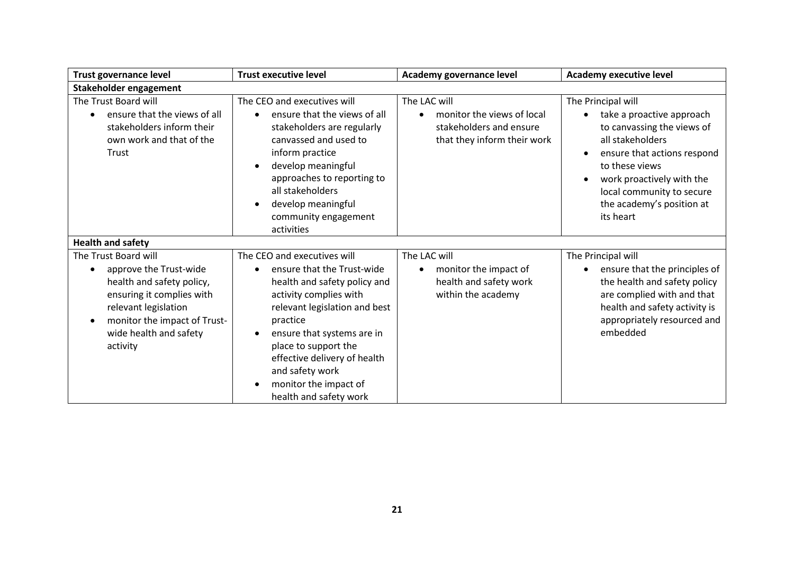| <b>Trust governance level</b>                                                                                                                                                                          | <b>Trust executive level</b>                                                                                                                                                                                                                                                                                                              | Academy governance level                                                                                          | <b>Academy executive level</b>                                                                                                                                                                                                                         |
|--------------------------------------------------------------------------------------------------------------------------------------------------------------------------------------------------------|-------------------------------------------------------------------------------------------------------------------------------------------------------------------------------------------------------------------------------------------------------------------------------------------------------------------------------------------|-------------------------------------------------------------------------------------------------------------------|--------------------------------------------------------------------------------------------------------------------------------------------------------------------------------------------------------------------------------------------------------|
| Stakeholder engagement                                                                                                                                                                                 |                                                                                                                                                                                                                                                                                                                                           |                                                                                                                   |                                                                                                                                                                                                                                                        |
| The Trust Board will<br>ensure that the views of all<br>stakeholders inform their<br>own work and that of the<br>Trust                                                                                 | The CEO and executives will<br>ensure that the views of all<br>stakeholders are regularly<br>canvassed and used to<br>inform practice<br>develop meaningful<br>$\bullet$<br>approaches to reporting to<br>all stakeholders<br>develop meaningful<br>$\bullet$<br>community engagement<br>activities                                       | The LAC will<br>monitor the views of local<br>$\bullet$<br>stakeholders and ensure<br>that they inform their work | The Principal will<br>take a proactive approach<br>to canvassing the views of<br>all stakeholders<br>ensure that actions respond<br>to these views<br>work proactively with the<br>local community to secure<br>the academy's position at<br>its heart |
| <b>Health and safety</b>                                                                                                                                                                               |                                                                                                                                                                                                                                                                                                                                           |                                                                                                                   |                                                                                                                                                                                                                                                        |
| The Trust Board will<br>approve the Trust-wide<br>health and safety policy,<br>ensuring it complies with<br>relevant legislation<br>monitor the impact of Trust-<br>wide health and safety<br>activity | The CEO and executives will<br>ensure that the Trust-wide<br>health and safety policy and<br>activity complies with<br>relevant legislation and best<br>practice<br>ensure that systems are in<br>place to support the<br>effective delivery of health<br>and safety work<br>monitor the impact of<br>$\bullet$<br>health and safety work | The LAC will<br>monitor the impact of<br>$\bullet$<br>health and safety work<br>within the academy                | The Principal will<br>ensure that the principles of<br>the health and safety policy<br>are complied with and that<br>health and safety activity is<br>appropriately resourced and<br>embedded                                                          |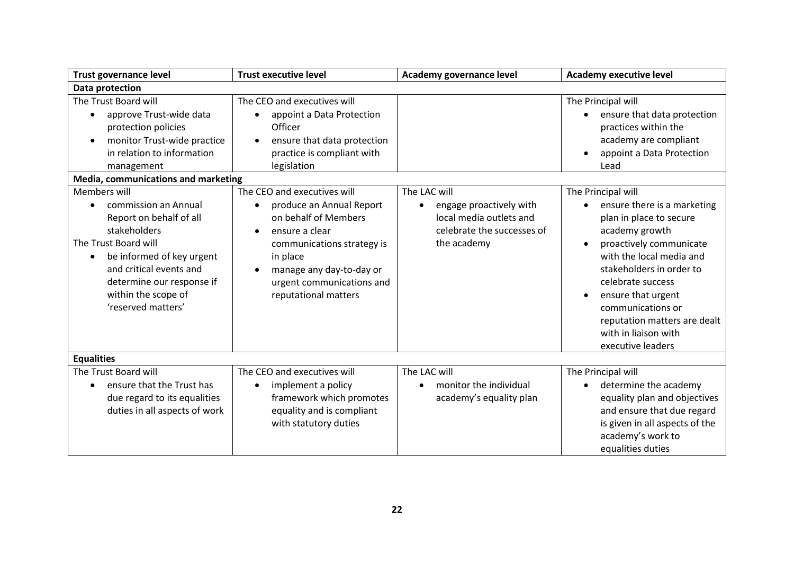| <b>Trust governance level</b>                                                                                                                                                                                                             | <b>Trust executive level</b>                                                                                                                                                                                                                           | Academy governance level                                                                                        | <b>Academy executive level</b>                                                                                                                                                                                                                                                                                                 |
|-------------------------------------------------------------------------------------------------------------------------------------------------------------------------------------------------------------------------------------------|--------------------------------------------------------------------------------------------------------------------------------------------------------------------------------------------------------------------------------------------------------|-----------------------------------------------------------------------------------------------------------------|--------------------------------------------------------------------------------------------------------------------------------------------------------------------------------------------------------------------------------------------------------------------------------------------------------------------------------|
| Data protection                                                                                                                                                                                                                           |                                                                                                                                                                                                                                                        |                                                                                                                 |                                                                                                                                                                                                                                                                                                                                |
| The Trust Board will<br>approve Trust-wide data<br>protection policies<br>monitor Trust-wide practice<br>in relation to information<br>management<br>Media, communications and marketing                                                  | The CEO and executives will<br>appoint a Data Protection<br>$\bullet$<br>Officer<br>ensure that data protection<br>practice is compliant with<br>legislation                                                                                           |                                                                                                                 | The Principal will<br>ensure that data protection<br>practices within the<br>academy are compliant<br>appoint a Data Protection<br>Lead                                                                                                                                                                                        |
| Members will<br>commission an Annual<br>Report on behalf of all<br>stakeholders<br>The Trust Board will<br>be informed of key urgent<br>and critical events and<br>determine our response if<br>within the scope of<br>'reserved matters' | The CEO and executives will<br>produce an Annual Report<br>$\bullet$<br>on behalf of Members<br>ensure a clear<br>$\bullet$<br>communications strategy is<br>in place<br>manage any day-to-day or<br>urgent communications and<br>reputational matters | The LAC will<br>engage proactively with<br>local media outlets and<br>celebrate the successes of<br>the academy | The Principal will<br>ensure there is a marketing<br>plan in place to secure<br>academy growth<br>proactively communicate<br>with the local media and<br>stakeholders in order to<br>celebrate success<br>ensure that urgent<br>communications or<br>reputation matters are dealt<br>with in liaison with<br>executive leaders |
| <b>Equalities</b>                                                                                                                                                                                                                         |                                                                                                                                                                                                                                                        |                                                                                                                 |                                                                                                                                                                                                                                                                                                                                |
| The Trust Board will<br>ensure that the Trust has<br>due regard to its equalities<br>duties in all aspects of work                                                                                                                        | The CEO and executives will<br>implement a policy<br>$\bullet$<br>framework which promotes<br>equality and is compliant<br>with statutory duties                                                                                                       | The LAC will<br>monitor the individual<br>academy's equality plan                                               | The Principal will<br>determine the academy<br>equality plan and objectives<br>and ensure that due regard<br>is given in all aspects of the<br>academy's work to<br>equalities duties                                                                                                                                          |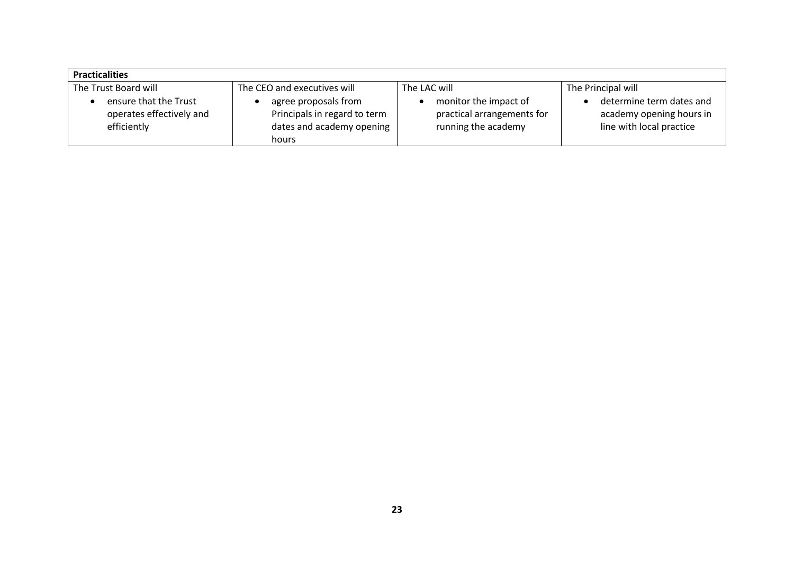| <b>Practicalities</b>                                            |                                                                                            |                                                                            |                                                                                  |  |
|------------------------------------------------------------------|--------------------------------------------------------------------------------------------|----------------------------------------------------------------------------|----------------------------------------------------------------------------------|--|
| The Trust Board will                                             | The CEO and executives will                                                                | The LAC will                                                               | The Principal will                                                               |  |
| ensure that the Trust<br>operates effectively and<br>efficiently | agree proposals from<br>Principals in regard to term<br>dates and academy opening<br>hours | monitor the impact of<br>practical arrangements for<br>running the academy | determine term dates and<br>academy opening hours in<br>line with local practice |  |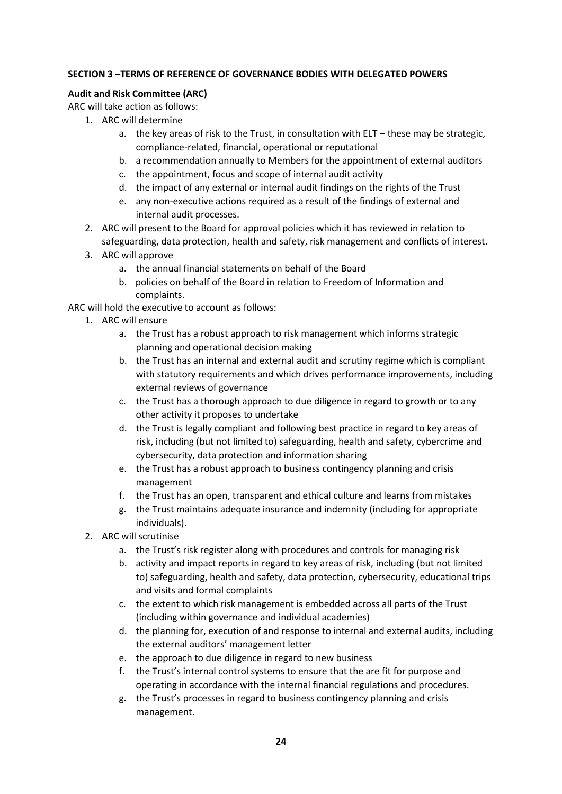# **SECTION 3 –TERMS OF REFERENCE OF GOVERNANCE BODIES WITH DELEGATED POWERS**

#### **Audit and Risk Committee (ARC)**

ARC will take action as follows:

- 1. ARC will determine
	- a. the key areas of risk to the Trust, in consultation with ELT these may be strategic, compliance-related, financial, operational or reputational
	- b. a recommendation annually to Members for the appointment of external auditors
	- c. the appointment, focus and scope of internal audit activity
	- d. the impact of any external or internal audit findings on the rights of the Trust
	- e. any non-executive actions required as a result of the findings of external and internal audit processes.
- 2. ARC will present to the Board for approval policies which it has reviewed in relation to safeguarding, data protection, health and safety, risk management and conflicts of interest.
- 3. ARC will approve
	- a. the annual financial statements on behalf of the Board
	- b. policies on behalf of the Board in relation to Freedom of Information and complaints.

ARC will hold the executive to account as follows:

- 1. ARC will ensure
	- a. the Trust has a robust approach to risk management which informs strategic planning and operational decision making
	- b. the Trust has an internal and external audit and scrutiny regime which is compliant with statutory requirements and which drives performance improvements, including external reviews of governance
	- c. the Trust has a thorough approach to due diligence in regard to growth or to any other activity it proposes to undertake
	- d. the Trust is legally compliant and following best practice in regard to key areas of risk, including (but not limited to) safeguarding, health and safety, cybercrime and cybersecurity, data protection and information sharing
	- e. the Trust has a robust approach to business contingency planning and crisis management
	- f. the Trust has an open, transparent and ethical culture and learns from mistakes
	- g. the Trust maintains adequate insurance and indemnity (including for appropriate individuals).
- 2. ARC will scrutinise
	- a. the Trust's risk register along with procedures and controls for managing risk
	- b. activity and impact reports in regard to key areas of risk, including (but not limited to) safeguarding, health and safety, data protection, cybersecurity, educational trips and visits and formal complaints
	- c. the extent to which risk management is embedded across all parts of the Trust (including within governance and individual academies)
	- d. the planning for, execution of and response to internal and external audits, including the external auditors' management letter
	- e. the approach to due diligence in regard to new business
	- f. the Trust's internal control systems to ensure that the are fit for purpose and operating in accordance with the internal financial regulations and procedures.
	- g. the Trust's processes in regard to business contingency planning and crisis management.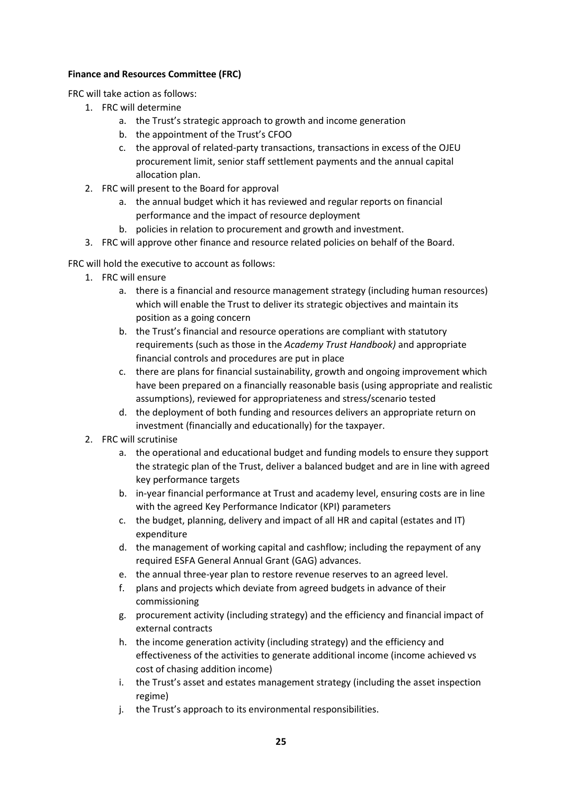# **Finance and Resources Committee (FRC)**

FRC will take action as follows:

- 1. FRC will determine
	- a. the Trust's strategic approach to growth and income generation
	- b. the appointment of the Trust's CFOO
	- c. the approval of related-party transactions, transactions in excess of the OJEU procurement limit, senior staff settlement payments and the annual capital allocation plan.
- 2. FRC will present to the Board for approval
	- a. the annual budget which it has reviewed and regular reports on financial performance and the impact of resource deployment
	- b. policies in relation to procurement and growth and investment.
- 3. FRC will approve other finance and resource related policies on behalf of the Board.

FRC will hold the executive to account as follows:

- 1. FRC will ensure
	- a. there is a financial and resource management strategy (including human resources) which will enable the Trust to deliver its strategic objectives and maintain its position as a going concern
	- b. the Trust's financial and resource operations are compliant with statutory requirements (such as those in the *Academy Trust Handbook)* and appropriate financial controls and procedures are put in place
	- c. there are plans for financial sustainability, growth and ongoing improvement which have been prepared on a financially reasonable basis (using appropriate and realistic assumptions), reviewed for appropriateness and stress/scenario tested
	- d. the deployment of both funding and resources delivers an appropriate return on investment (financially and educationally) for the taxpayer.
- 2. FRC will scrutinise
	- a. the operational and educational budget and funding models to ensure they support the strategic plan of the Trust, deliver a balanced budget and are in line with agreed key performance targets
	- b. in-year financial performance at Trust and academy level, ensuring costs are in line with the agreed Key Performance Indicator (KPI) parameters
	- c. the budget, planning, delivery and impact of all HR and capital (estates and IT) expenditure
	- d. the management of working capital and cashflow; including the repayment of any required ESFA General Annual Grant (GAG) advances.
	- e. the annual three-year plan to restore revenue reserves to an agreed level.
	- f. plans and projects which deviate from agreed budgets in advance of their commissioning
	- g. procurement activity (including strategy) and the efficiency and financial impact of external contracts
	- h. the income generation activity (including strategy) and the efficiency and effectiveness of the activities to generate additional income (income achieved vs cost of chasing addition income)
	- i. the Trust's asset and estates management strategy (including the asset inspection regime)
	- j. the Trust's approach to its environmental responsibilities.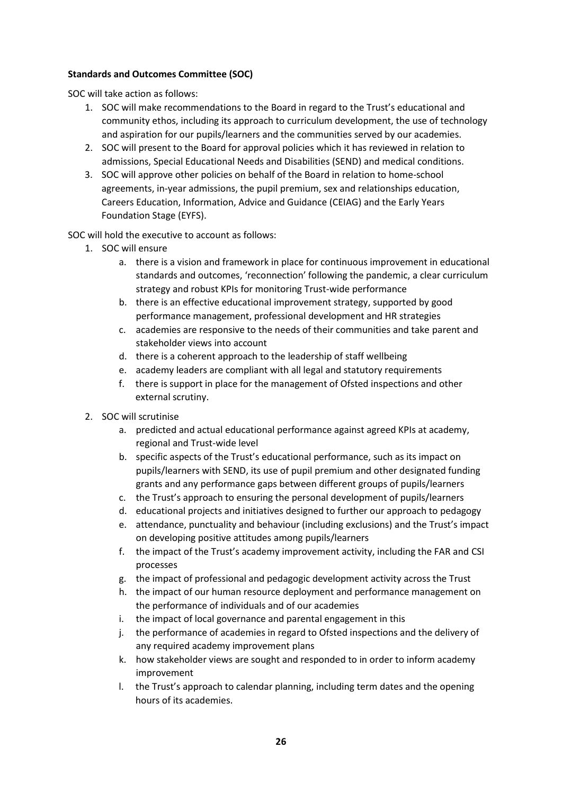# **Standards and Outcomes Committee (SOC)**

SOC will take action as follows:

- 1. SOC will make recommendations to the Board in regard to the Trust's educational and community ethos, including its approach to curriculum development, the use of technology and aspiration for our pupils/learners and the communities served by our academies.
- 2. SOC will present to the Board for approval policies which it has reviewed in relation to admissions, Special Educational Needs and Disabilities (SEND) and medical conditions.
- 3. SOC will approve other policies on behalf of the Board in relation to home-school agreements, in-year admissions, the pupil premium, sex and relationships education, Careers Education, Information, Advice and Guidance (CEIAG) and the Early Years Foundation Stage (EYFS).

SOC will hold the executive to account as follows:

- 1. SOC will ensure
	- a. there is a vision and framework in place for continuous improvement in educational standards and outcomes, 'reconnection' following the pandemic, a clear curriculum strategy and robust KPIs for monitoring Trust-wide performance
	- b. there is an effective educational improvement strategy, supported by good performance management, professional development and HR strategies
	- c. academies are responsive to the needs of their communities and take parent and stakeholder views into account
	- d. there is a coherent approach to the leadership of staff wellbeing
	- e. academy leaders are compliant with all legal and statutory requirements
	- f. there is support in place for the management of Ofsted inspections and other external scrutiny.
- 2. SOC will scrutinise
	- a. predicted and actual educational performance against agreed KPIs at academy, regional and Trust-wide level
	- b. specific aspects of the Trust's educational performance, such as its impact on pupils/learners with SEND, its use of pupil premium and other designated funding grants and any performance gaps between different groups of pupils/learners
	- c. the Trust's approach to ensuring the personal development of pupils/learners
	- d. educational projects and initiatives designed to further our approach to pedagogy
	- e. attendance, punctuality and behaviour (including exclusions) and the Trust's impact on developing positive attitudes among pupils/learners
	- f. the impact of the Trust's academy improvement activity, including the FAR and CSI processes
	- g. the impact of professional and pedagogic development activity across the Trust
	- h. the impact of our human resource deployment and performance management on the performance of individuals and of our academies
	- i. the impact of local governance and parental engagement in this
	- j. the performance of academies in regard to Ofsted inspections and the delivery of any required academy improvement plans
	- k. how stakeholder views are sought and responded to in order to inform academy improvement
	- l. the Trust's approach to calendar planning, including term dates and the opening hours of its academies.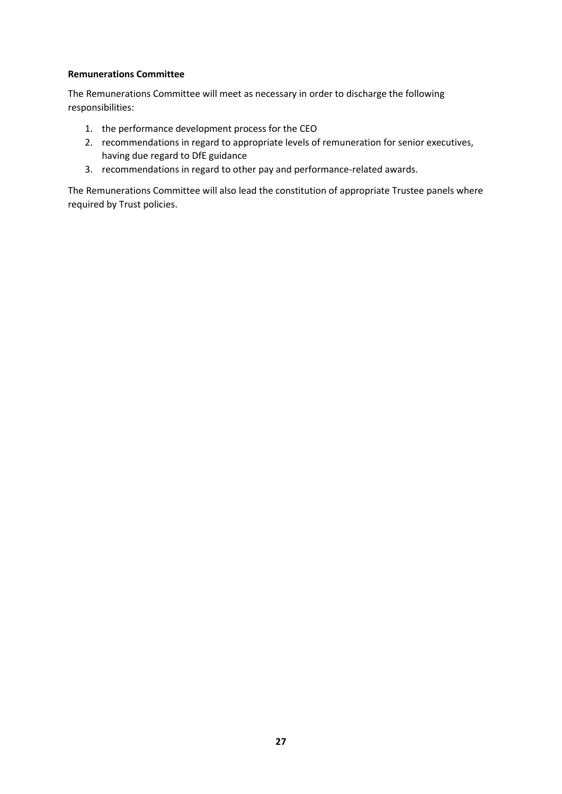# **Remunerations Committee**

The Remunerations Committee will meet as necessary in order to discharge the following responsibilities:

- 1. the performance development process for the CEO
- 2. recommendations in regard to appropriate levels of remuneration for senior executives, having due regard to DfE guidance
- 3. recommendations in regard to other pay and performance-related awards.

The Remunerations Committee will also lead the constitution of appropriate Trustee panels where required by Trust policies.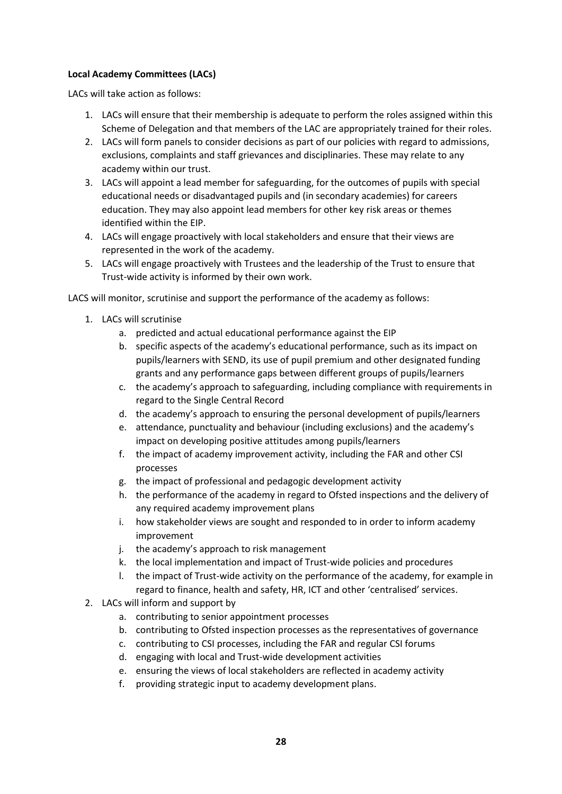# **Local Academy Committees (LACs)**

LACs will take action as follows:

- 1. LACs will ensure that their membership is adequate to perform the roles assigned within this Scheme of Delegation and that members of the LAC are appropriately trained for their roles.
- 2. LACs will form panels to consider decisions as part of our policies with regard to admissions, exclusions, complaints and staff grievances and disciplinaries. These may relate to any academy within our trust.
- 3. LACs will appoint a lead member for safeguarding, for the outcomes of pupils with special educational needs or disadvantaged pupils and (in secondary academies) for careers education. They may also appoint lead members for other key risk areas or themes identified within the EIP.
- 4. LACs will engage proactively with local stakeholders and ensure that their views are represented in the work of the academy.
- 5. LACs will engage proactively with Trustees and the leadership of the Trust to ensure that Trust-wide activity is informed by their own work.

LACS will monitor, scrutinise and support the performance of the academy as follows:

- 1. LACs will scrutinise
	- a. predicted and actual educational performance against the EIP
	- b. specific aspects of the academy's educational performance, such as its impact on pupils/learners with SEND, its use of pupil premium and other designated funding grants and any performance gaps between different groups of pupils/learners
	- c. the academy's approach to safeguarding, including compliance with requirements in regard to the Single Central Record
	- d. the academy's approach to ensuring the personal development of pupils/learners
	- e. attendance, punctuality and behaviour (including exclusions) and the academy's impact on developing positive attitudes among pupils/learners
	- f. the impact of academy improvement activity, including the FAR and other CSI processes
	- g. the impact of professional and pedagogic development activity
	- h. the performance of the academy in regard to Ofsted inspections and the delivery of any required academy improvement plans
	- i. how stakeholder views are sought and responded to in order to inform academy improvement
	- j. the academy's approach to risk management
	- k. the local implementation and impact of Trust-wide policies and procedures
	- l. the impact of Trust-wide activity on the performance of the academy, for example in regard to finance, health and safety, HR, ICT and other 'centralised' services.
- 2. LACs will inform and support by
	- a. contributing to senior appointment processes
	- b. contributing to Ofsted inspection processes as the representatives of governance
	- c. contributing to CSI processes, including the FAR and regular CSI forums
	- d. engaging with local and Trust-wide development activities
	- e. ensuring the views of local stakeholders are reflected in academy activity
	- f. providing strategic input to academy development plans.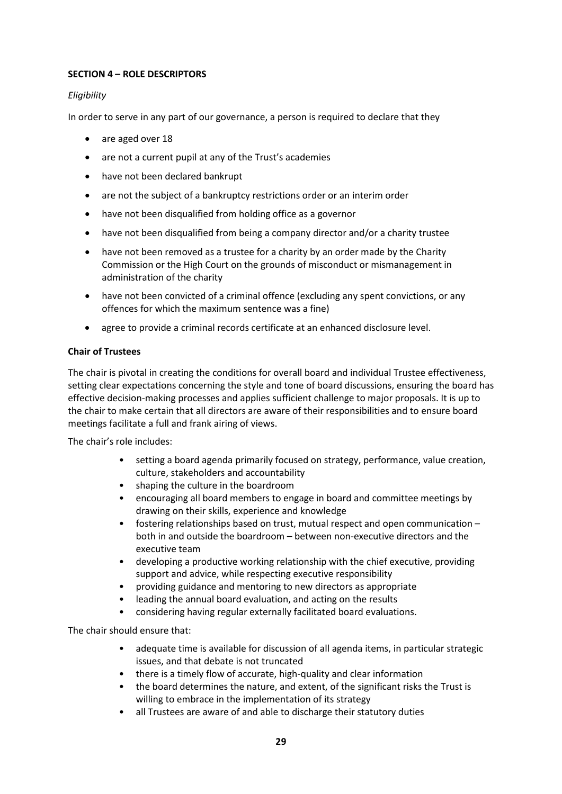# **SECTION 4 – ROLE DESCRIPTORS**

# *Eligibility*

In order to serve in any part of our governance, a person is required to declare that they

- are aged over 18
- are not a current pupil at any of the Trust's academies
- have not been declared bankrupt
- are not the subject of a bankruptcy restrictions order or an interim order
- have not been disqualified from holding office as a governor
- have not been disqualified from being a company director and/or a charity trustee
- have not been removed as a trustee for a charity by an order made by the Charity Commission or the High Court on the grounds of misconduct or mismanagement in administration of the charity
- have not been convicted of a criminal offence (excluding any spent convictions, or any offences for which the maximum sentence was a fine)
- agree to provide a criminal records certificate at an enhanced disclosure level.

#### **Chair of Trustees**

The chair is pivotal in creating the conditions for overall board and individual Trustee effectiveness, setting clear expectations concerning the style and tone of board discussions, ensuring the board has effective decision-making processes and applies sufficient challenge to major proposals. It is up to the chair to make certain that all directors are aware of their responsibilities and to ensure board meetings facilitate a full and frank airing of views.

The chair's role includes:

- setting a board agenda primarily focused on strategy, performance, value creation, culture, stakeholders and accountability
- shaping the culture in the boardroom
- encouraging all board members to engage in board and committee meetings by drawing on their skills, experience and knowledge
- fostering relationships based on trust, mutual respect and open communication both in and outside the boardroom – between non-executive directors and the executive team
- developing a productive working relationship with the chief executive, providing support and advice, while respecting executive responsibility
- providing guidance and mentoring to new directors as appropriate
- leading the annual board evaluation, and acting on the results
- considering having regular externally facilitated board evaluations.

The chair should ensure that:

- adequate time is available for discussion of all agenda items, in particular strategic issues, and that debate is not truncated
- there is a timely flow of accurate, high-quality and clear information
- the board determines the nature, and extent, of the significant risks the Trust is willing to embrace in the implementation of its strategy
- all Trustees are aware of and able to discharge their statutory duties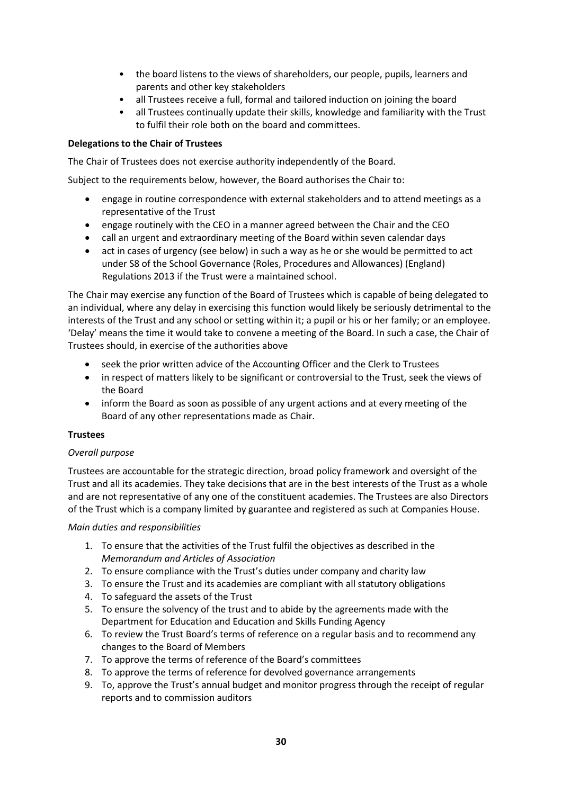- the board listens to the views of shareholders, our people, pupils, learners and parents and other key stakeholders
- all Trustees receive a full, formal and tailored induction on joining the board
- all Trustees continually update their skills, knowledge and familiarity with the Trust to fulfil their role both on the board and committees.

# **Delegations to the Chair of Trustees**

The Chair of Trustees does not exercise authority independently of the Board.

Subject to the requirements below, however, the Board authorises the Chair to:

- engage in routine correspondence with external stakeholders and to attend meetings as a representative of the Trust
- engage routinely with the CEO in a manner agreed between the Chair and the CEO
- call an urgent and extraordinary meeting of the Board within seven calendar days
- act in cases of urgency (see below) in such a way as he or she would be permitted to act under S8 of the School Governance (Roles, Procedures and Allowances) (England) Regulations 2013 if the Trust were a maintained school.

The Chair may exercise any function of the Board of Trustees which is capable of being delegated to an individual, where any delay in exercising this function would likely be seriously detrimental to the interests of the Trust and any school or setting within it; a pupil or his or her family; or an employee. 'Delay' means the time it would take to convene a meeting of the Board. In such a case, the Chair of Trustees should, in exercise of the authorities above

- seek the prior written advice of the Accounting Officer and the Clerk to Trustees
- in respect of matters likely to be significant or controversial to the Trust, seek the views of the Board
- inform the Board as soon as possible of any urgent actions and at every meeting of the Board of any other representations made as Chair.

#### **Trustees**

#### *Overall purpose*

Trustees are accountable for the strategic direction, broad policy framework and oversight of the Trust and all its academies. They take decisions that are in the best interests of the Trust as a whole and are not representative of any one of the constituent academies. The Trustees are also Directors of the Trust which is a company limited by guarantee and registered as such at Companies House.

#### *Main duties and responsibilities*

- 1. To ensure that the activities of the Trust fulfil the objectives as described in the *Memorandum and Articles of Association*
- 2. To ensure compliance with the Trust's duties under company and charity law
- 3. To ensure the Trust and its academies are compliant with all statutory obligations
- 4. To safeguard the assets of the Trust
- 5. To ensure the solvency of the trust and to abide by the agreements made with the Department for Education and Education and Skills Funding Agency
- 6. To review the Trust Board's terms of reference on a regular basis and to recommend any changes to the Board of Members
- 7. To approve the terms of reference of the Board's committees
- 8. To approve the terms of reference for devolved governance arrangements
- 9. To, approve the Trust's annual budget and monitor progress through the receipt of regular reports and to commission auditors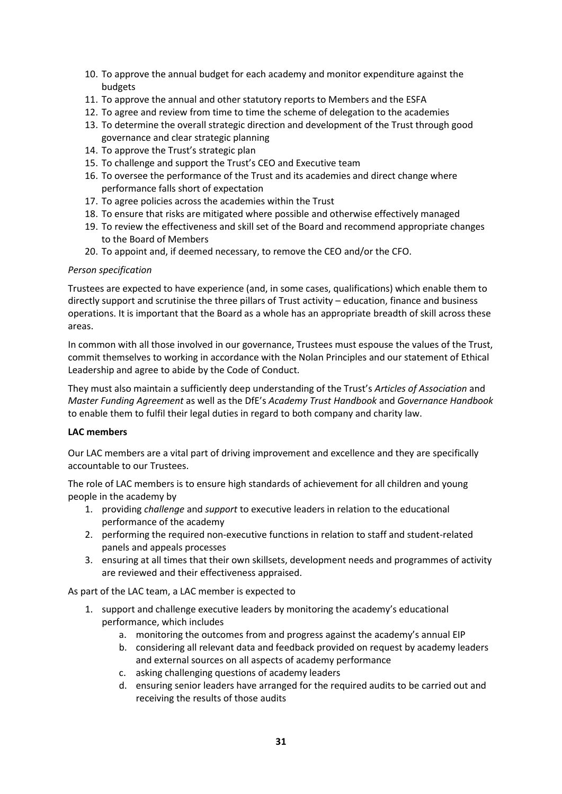- 10. To approve the annual budget for each academy and monitor expenditure against the budgets
- 11. To approve the annual and other statutory reports to Members and the ESFA
- 12. To agree and review from time to time the scheme of delegation to the academies
- 13. To determine the overall strategic direction and development of the Trust through good governance and clear strategic planning
- 14. To approve the Trust's strategic plan
- 15. To challenge and support the Trust's CEO and Executive team
- 16. To oversee the performance of the Trust and its academies and direct change where performance falls short of expectation
- 17. To agree policies across the academies within the Trust
- 18. To ensure that risks are mitigated where possible and otherwise effectively managed
- 19. To review the effectiveness and skill set of the Board and recommend appropriate changes to the Board of Members
- 20. To appoint and, if deemed necessary, to remove the CEO and/or the CFO.

#### *Person specification*

Trustees are expected to have experience (and, in some cases, qualifications) which enable them to directly support and scrutinise the three pillars of Trust activity – education, finance and business operations. It is important that the Board as a whole has an appropriate breadth of skill across these areas.

In common with all those involved in our governance, Trustees must espouse the values of the Trust, commit themselves to working in accordance with the Nolan Principles and our statement of Ethical Leadership and agree to abide by the Code of Conduct.

They must also maintain a sufficiently deep understanding of the Trust's *Articles of Association* and *Master Funding Agreement* as well as the DfE's *Academy Trust Handbook* and *Governance Handbook* to enable them to fulfil their legal duties in regard to both company and charity law.

#### **LAC members**

Our LAC members are a vital part of driving improvement and excellence and they are specifically accountable to our Trustees.

The role of LAC members is to ensure high standards of achievement for all children and young people in the academy by

- 1. providing *challenge* and *support* to executive leaders in relation to the educational performance of the academy
- 2. performing the required non-executive functions in relation to staff and student-related panels and appeals processes
- 3. ensuring at all times that their own skillsets, development needs and programmes of activity are reviewed and their effectiveness appraised.

As part of the LAC team, a LAC member is expected to

- 1. support and challenge executive leaders by monitoring the academy's educational performance, which includes
	- a. monitoring the outcomes from and progress against the academy's annual EIP
	- b. considering all relevant data and feedback provided on request by academy leaders and external sources on all aspects of academy performance
	- c. asking challenging questions of academy leaders
	- d. ensuring senior leaders have arranged for the required audits to be carried out and receiving the results of those audits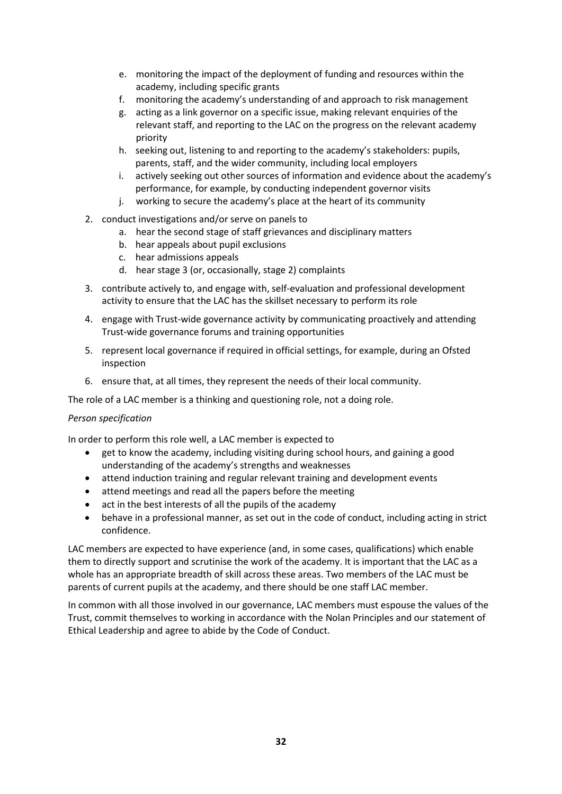- e. monitoring the impact of the deployment of funding and resources within the academy, including specific grants
- f. monitoring the academy's understanding of and approach to risk management
- g. acting as a link governor on a specific issue, making relevant enquiries of the relevant staff, and reporting to the LAC on the progress on the relevant academy priority
- h. seeking out, listening to and reporting to the academy's stakeholders: pupils, parents, staff, and the wider community, including local employers
- i. actively seeking out other sources of information and evidence about the academy's performance, for example, by conducting independent governor visits
- j. working to secure the academy's place at the heart of its community
- 2. conduct investigations and/or serve on panels to
	- a. hear the second stage of staff grievances and disciplinary matters
	- b. hear appeals about pupil exclusions
	- c. hear admissions appeals
	- d. hear stage 3 (or, occasionally, stage 2) complaints
- 3. contribute actively to, and engage with, self-evaluation and professional development activity to ensure that the LAC has the skillset necessary to perform its role
- 4. engage with Trust-wide governance activity by communicating proactively and attending Trust-wide governance forums and training opportunities
- 5. represent local governance if required in official settings, for example, during an Ofsted inspection
- 6. ensure that, at all times, they represent the needs of their local community.

The role of a LAC member is a thinking and questioning role, not a doing role.

#### *Person specification*

In order to perform this role well, a LAC member is expected to

- get to know the academy, including visiting during school hours, and gaining a good understanding of the academy's strengths and weaknesses
- attend induction training and regular relevant training and development events
- attend meetings and read all the papers before the meeting
- act in the best interests of all the pupils of the academy
- behave in a professional manner, as set out in the code of conduct, including acting in strict confidence.

LAC members are expected to have experience (and, in some cases, qualifications) which enable them to directly support and scrutinise the work of the academy. It is important that the LAC as a whole has an appropriate breadth of skill across these areas. Two members of the LAC must be parents of current pupils at the academy, and there should be one staff LAC member.

In common with all those involved in our governance, LAC members must espouse the values of the Trust, commit themselves to working in accordance with the Nolan Principles and our statement of Ethical Leadership and agree to abide by the Code of Conduct.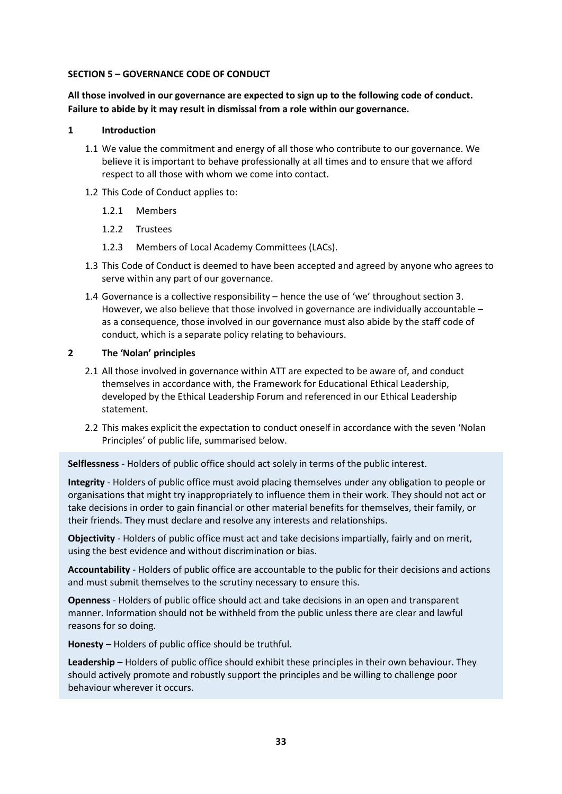#### **SECTION 5 – GOVERNANCE CODE OF CONDUCT**

**All those involved in our governance are expected to sign up to the following code of conduct. Failure to abide by it may result in dismissal from a role within our governance.**

#### **1 Introduction**

- 1.1 We value the commitment and energy of all those who contribute to our governance. We believe it is important to behave professionally at all times and to ensure that we afford respect to all those with whom we come into contact.
- 1.2 This Code of Conduct applies to:
	- 1.2.1 Members
	- 1.2.2 Trustees
	- 1.2.3 Members of Local Academy Committees (LACs).
- 1.3 This Code of Conduct is deemed to have been accepted and agreed by anyone who agrees to serve within any part of our governance.
- 1.4 Governance is a collective responsibility hence the use of 'we' throughout section 3. However, we also believe that those involved in governance are individually accountable – as a consequence, those involved in our governance must also abide by the staff code of conduct, which is a separate policy relating to behaviours.

# **2 The 'Nolan' principles**

- 2.1 All those involved in governance within ATT are expected to be aware of, and conduct themselves in accordance with, the Framework for Educational Ethical Leadership, developed by the Ethical Leadership Forum and referenced in our Ethical Leadership statement.
- 2.2 This makes explicit the expectation to conduct oneself in accordance with the seven 'Nolan Principles' of public life, summarised below.

**Selflessness** - Holders of public office should act solely in terms of the public interest.

**Integrity** - Holders of public office must avoid placing themselves under any obligation to people or organisations that might try inappropriately to influence them in their work. They should not act or take decisions in order to gain financial or other material benefits for themselves, their family, or their friends. They must declare and resolve any interests and relationships.

**Objectivity** - Holders of public office must act and take decisions impartially, fairly and on merit, using the best evidence and without discrimination or bias.

**Accountability** - Holders of public office are accountable to the public for their decisions and actions and must submit themselves to the scrutiny necessary to ensure this.

**Openness** - Holders of public office should act and take decisions in an open and transparent manner. Information should not be withheld from the public unless there are clear and lawful reasons for so doing.

**Honesty** – Holders of public office should be truthful.

**Leadership** – Holders of public office should exhibit these principles in their own behaviour. They should actively promote and robustly support the principles and be willing to challenge poor behaviour wherever it occurs.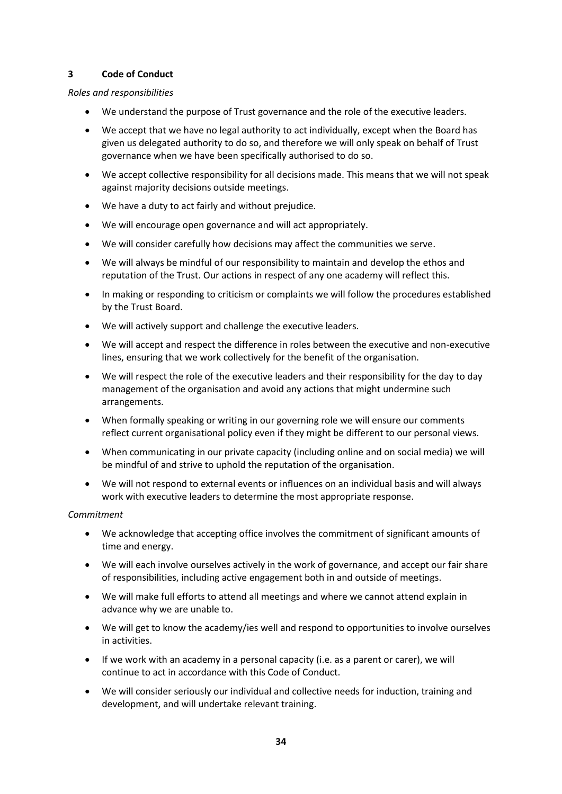# **3 Code of Conduct**

# *Roles and responsibilities*

- We understand the purpose of Trust governance and the role of the executive leaders.
- We accept that we have no legal authority to act individually, except when the Board has given us delegated authority to do so, and therefore we will only speak on behalf of Trust governance when we have been specifically authorised to do so.
- We accept collective responsibility for all decisions made. This means that we will not speak against majority decisions outside meetings.
- We have a duty to act fairly and without prejudice.
- We will encourage open governance and will act appropriately.
- We will consider carefully how decisions may affect the communities we serve.
- We will always be mindful of our responsibility to maintain and develop the ethos and reputation of the Trust. Our actions in respect of any one academy will reflect this.
- In making or responding to criticism or complaints we will follow the procedures established by the Trust Board.
- We will actively support and challenge the executive leaders.
- We will accept and respect the difference in roles between the executive and non-executive lines, ensuring that we work collectively for the benefit of the organisation.
- We will respect the role of the executive leaders and their responsibility for the day to day management of the organisation and avoid any actions that might undermine such arrangements.
- When formally speaking or writing in our governing role we will ensure our comments reflect current organisational policy even if they might be different to our personal views.
- When communicating in our private capacity (including online and on social media) we will be mindful of and strive to uphold the reputation of the organisation.
- We will not respond to external events or influences on an individual basis and will always work with executive leaders to determine the most appropriate response.

#### *Commitment*

- We acknowledge that accepting office involves the commitment of significant amounts of time and energy.
- We will each involve ourselves actively in the work of governance, and accept our fair share of responsibilities, including active engagement both in and outside of meetings.
- We will make full efforts to attend all meetings and where we cannot attend explain in advance why we are unable to.
- We will get to know the academy/ies well and respond to opportunities to involve ourselves in activities.
- If we work with an academy in a personal capacity (i.e. as a parent or carer), we will continue to act in accordance with this Code of Conduct.
- We will consider seriously our individual and collective needs for induction, training and development, and will undertake relevant training.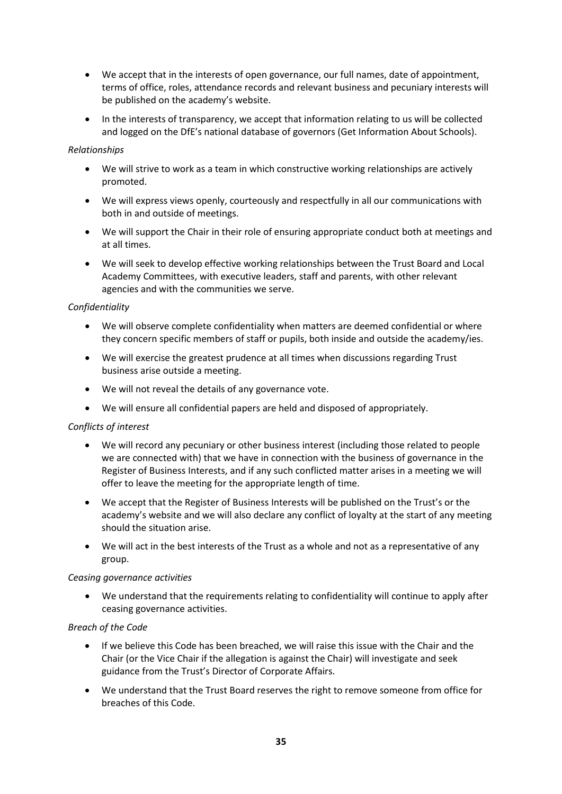- We accept that in the interests of open governance, our full names, date of appointment, terms of office, roles, attendance records and relevant business and pecuniary interests will be published on the academy's website.
- In the interests of transparency, we accept that information relating to us will be collected and logged on the DfE's national database of governors (Get Information About Schools).

#### *Relationships*

- We will strive to work as a team in which constructive working relationships are actively promoted.
- We will express views openly, courteously and respectfully in all our communications with both in and outside of meetings.
- We will support the Chair in their role of ensuring appropriate conduct both at meetings and at all times.
- We will seek to develop effective working relationships between the Trust Board and Local Academy Committees, with executive leaders, staff and parents, with other relevant agencies and with the communities we serve.

# *Confidentiality*

- We will observe complete confidentiality when matters are deemed confidential or where they concern specific members of staff or pupils, both inside and outside the academy/ies.
- We will exercise the greatest prudence at all times when discussions regarding Trust business arise outside a meeting.
- We will not reveal the details of any governance vote.
- We will ensure all confidential papers are held and disposed of appropriately.

#### *Conflicts of interest*

- We will record any pecuniary or other business interest (including those related to people we are connected with) that we have in connection with the business of governance in the Register of Business Interests, and if any such conflicted matter arises in a meeting we will offer to leave the meeting for the appropriate length of time.
- We accept that the Register of Business Interests will be published on the Trust's or the academy's website and we will also declare any conflict of loyalty at the start of any meeting should the situation arise.
- We will act in the best interests of the Trust as a whole and not as a representative of any group.

#### *Ceasing governance activities*

• We understand that the requirements relating to confidentiality will continue to apply after ceasing governance activities.

#### *Breach of the Code*

- If we believe this Code has been breached, we will raise this issue with the Chair and the Chair (or the Vice Chair if the allegation is against the Chair) will investigate and seek guidance from the Trust's Director of Corporate Affairs.
- We understand that the Trust Board reserves the right to remove someone from office for breaches of this Code.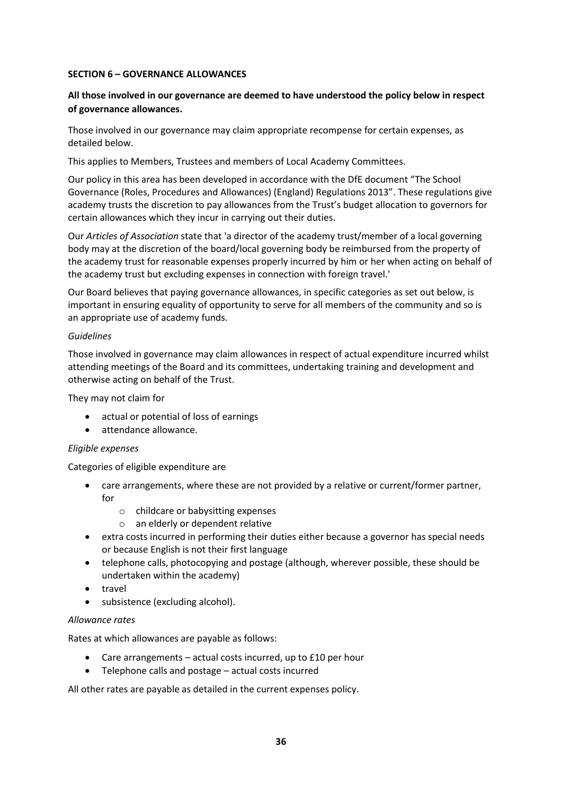#### **SECTION 6 – GOVERNANCE ALLOWANCES**

# **All those involved in our governance are deemed to have understood the policy below in respect of governance allowances.**

Those involved in our governance may claim appropriate recompense for certain expenses, as detailed below.

This applies to Members, Trustees and members of Local Academy Committees.

Our policy in this area has been developed in accordance with the DfE document "The School Governance (Roles, Procedures and Allowances) (England) Regulations 2013". These regulations give academy trusts the discretion to pay allowances from the Trust's budget allocation to governors for certain allowances which they incur in carrying out their duties.

Our *Articles of Association* state that 'a director of the academy trust/member of a local governing body may at the discretion of the board/local governing body be reimbursed from the property of the academy trust for reasonable expenses properly incurred by him or her when acting on behalf of the academy trust but excluding expenses in connection with foreign travel.'

Our Board believes that paying governance allowances, in specific categories as set out below, is important in ensuring equality of opportunity to serve for all members of the community and so is an appropriate use of academy funds.

#### *Guidelines*

Those involved in governance may claim allowances in respect of actual expenditure incurred whilst attending meetings of the Board and its committees, undertaking training and development and otherwise acting on behalf of the Trust.

They may not claim for

- actual or potential of loss of earnings
- attendance allowance.

#### *Eligible expenses*

Categories of eligible expenditure are

- care arrangements, where these are not provided by a relative or current/former partner, for
	- o childcare or babysitting expenses
	- o an elderly or dependent relative
- extra costs incurred in performing their duties either because a governor has special needs or because English is not their first language
- telephone calls, photocopying and postage (although, wherever possible, these should be undertaken within the academy)
- travel
- subsistence (excluding alcohol).

#### *Allowance rates*

Rates at which allowances are payable as follows:

- Care arrangements actual costs incurred, up to £10 per hour
- Telephone calls and postage actual costs incurred

All other rates are payable as detailed in the current expenses policy.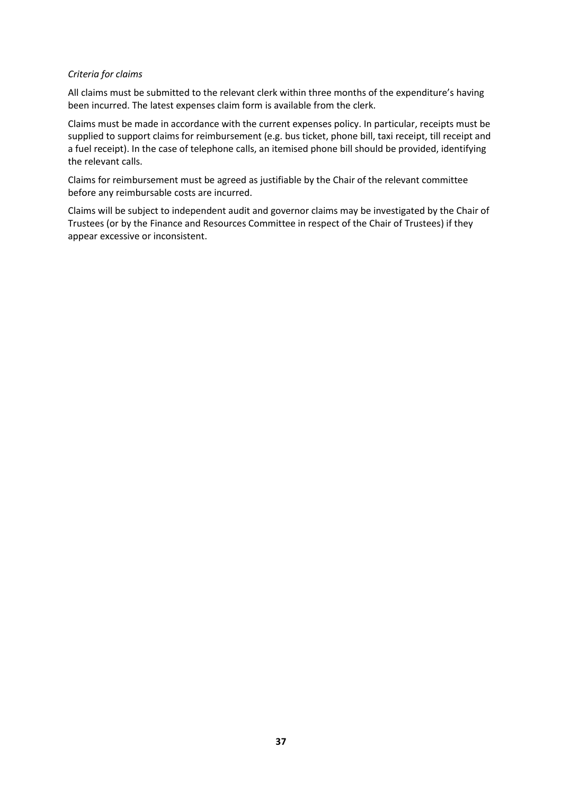#### *Criteria for claims*

All claims must be submitted to the relevant clerk within three months of the expenditure's having been incurred. The latest expenses claim form is available from the clerk.

Claims must be made in accordance with the current expenses policy. In particular, receipts must be supplied to support claims for reimbursement (e.g. bus ticket, phone bill, taxi receipt, till receipt and a fuel receipt). In the case of telephone calls, an itemised phone bill should be provided, identifying the relevant calls.

Claims for reimbursement must be agreed as justifiable by the Chair of the relevant committee before any reimbursable costs are incurred.

Claims will be subject to independent audit and governor claims may be investigated by the Chair of Trustees (or by the Finance and Resources Committee in respect of the Chair of Trustees) if they appear excessive or inconsistent.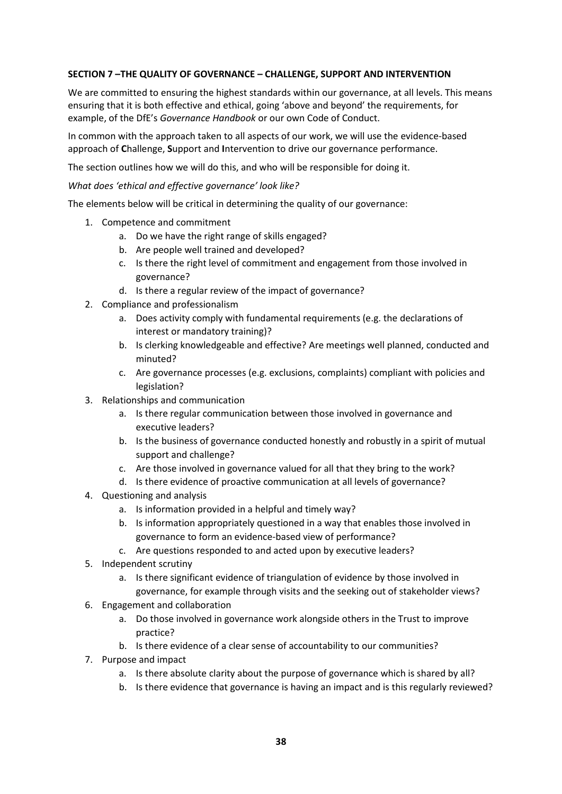# **SECTION 7 –THE QUALITY OF GOVERNANCE – CHALLENGE, SUPPORT AND INTERVENTION**

We are committed to ensuring the highest standards within our governance, at all levels. This means ensuring that it is both effective and ethical, going 'above and beyond' the requirements, for example, of the DfE's *Governance Handbook* or our own Code of Conduct.

In common with the approach taken to all aspects of our work, we will use the evidence-based approach of **C**hallenge, **S**upport and **I**ntervention to drive our governance performance.

The section outlines how we will do this, and who will be responsible for doing it.

*What does 'ethical and effective governance' look like?*

The elements below will be critical in determining the quality of our governance:

- 1. Competence and commitment
	- a. Do we have the right range of skills engaged?
	- b. Are people well trained and developed?
	- c. Is there the right level of commitment and engagement from those involved in governance?
	- d. Is there a regular review of the impact of governance?
- 2. Compliance and professionalism
	- a. Does activity comply with fundamental requirements (e.g. the declarations of interest or mandatory training)?
	- b. Is clerking knowledgeable and effective? Are meetings well planned, conducted and minuted?
	- c. Are governance processes (e.g. exclusions, complaints) compliant with policies and legislation?
- 3. Relationships and communication
	- a. Is there regular communication between those involved in governance and executive leaders?
	- b. Is the business of governance conducted honestly and robustly in a spirit of mutual support and challenge?
	- c. Are those involved in governance valued for all that they bring to the work?
	- d. Is there evidence of proactive communication at all levels of governance?
- 4. Questioning and analysis
	- a. Is information provided in a helpful and timely way?
	- b. Is information appropriately questioned in a way that enables those involved in governance to form an evidence-based view of performance?
	- c. Are questions responded to and acted upon by executive leaders?
- 5. Independent scrutiny
	- a. Is there significant evidence of triangulation of evidence by those involved in governance, for example through visits and the seeking out of stakeholder views?
- 6. Engagement and collaboration
	- a. Do those involved in governance work alongside others in the Trust to improve practice?
	- b. Is there evidence of a clear sense of accountability to our communities?
- 7. Purpose and impact
	- a. Is there absolute clarity about the purpose of governance which is shared by all?
	- b. Is there evidence that governance is having an impact and is this regularly reviewed?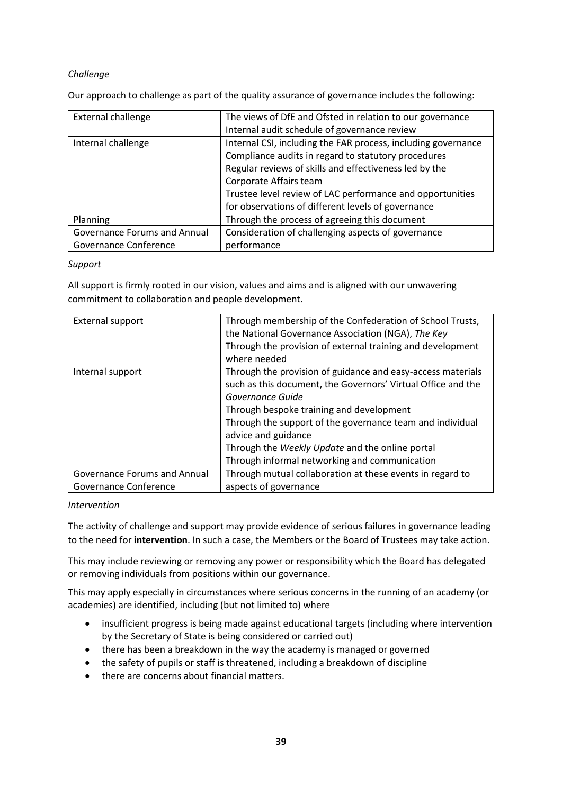# *Challenge*

Our approach to challenge as part of the quality assurance of governance includes the following:

| <b>External challenge</b>    | The views of DfE and Ofsted in relation to our governance     |
|------------------------------|---------------------------------------------------------------|
|                              | Internal audit schedule of governance review                  |
| Internal challenge           | Internal CSI, including the FAR process, including governance |
|                              | Compliance audits in regard to statutory procedures           |
|                              | Regular reviews of skills and effectiveness led by the        |
|                              | Corporate Affairs team                                        |
|                              | Trustee level review of LAC performance and opportunities     |
|                              | for observations of different levels of governance            |
| Planning                     | Through the process of agreeing this document                 |
| Governance Forums and Annual | Consideration of challenging aspects of governance            |
| Governance Conference        | performance                                                   |

#### *Support*

All support is firmly rooted in our vision, values and aims and is aligned with our unwavering commitment to collaboration and people development.

| External support                    | Through membership of the Confederation of School Trusts,<br>the National Governance Association (NGA), The Key<br>Through the provision of external training and development<br>where needed                                                                                                                                                                                       |
|-------------------------------------|-------------------------------------------------------------------------------------------------------------------------------------------------------------------------------------------------------------------------------------------------------------------------------------------------------------------------------------------------------------------------------------|
| Internal support                    | Through the provision of guidance and easy-access materials<br>such as this document, the Governors' Virtual Office and the<br>Governance Guide<br>Through bespoke training and development<br>Through the support of the governance team and individual<br>advice and guidance<br>Through the Weekly Update and the online portal<br>Through informal networking and communication |
| <b>Governance Forums and Annual</b> | Through mutual collaboration at these events in regard to                                                                                                                                                                                                                                                                                                                           |
| Governance Conference               | aspects of governance                                                                                                                                                                                                                                                                                                                                                               |

#### *Intervention*

The activity of challenge and support may provide evidence of serious failures in governance leading to the need for **intervention**. In such a case, the Members or the Board of Trustees may take action.

This may include reviewing or removing any power or responsibility which the Board has delegated or removing individuals from positions within our governance.

This may apply especially in circumstances where serious concerns in the running of an academy (or academies) are identified, including (but not limited to) where

- insufficient progress is being made against educational targets (including where intervention by the Secretary of State is being considered or carried out)
- there has been a breakdown in the way the academy is managed or governed
- the safety of pupils or staff is threatened, including a breakdown of discipline
- there are concerns about financial matters.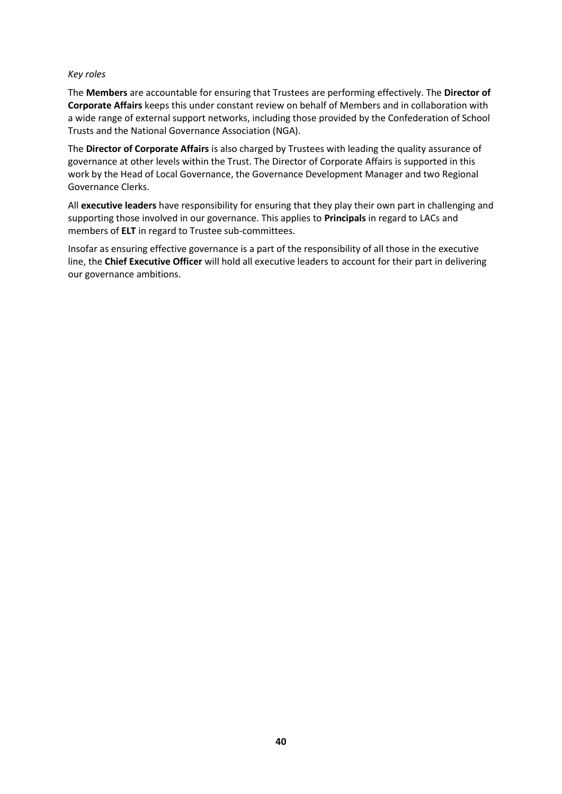#### *Key roles*

The **Members** are accountable for ensuring that Trustees are performing effectively. The **Director of Corporate Affairs** keeps this under constant review on behalf of Members and in collaboration with a wide range of external support networks, including those provided by the Confederation of School Trusts and the National Governance Association (NGA).

The **Director of Corporate Affairs** is also charged by Trustees with leading the quality assurance of governance at other levels within the Trust. The Director of Corporate Affairs is supported in this work by the Head of Local Governance, the Governance Development Manager and two Regional Governance Clerks.

All **executive leaders** have responsibility for ensuring that they play their own part in challenging and supporting those involved in our governance. This applies to **Principals** in regard to LACs and members of **ELT** in regard to Trustee sub-committees.

Insofar as ensuring effective governance is a part of the responsibility of all those in the executive line, the **Chief Executive Officer** will hold all executive leaders to account for their part in delivering our governance ambitions.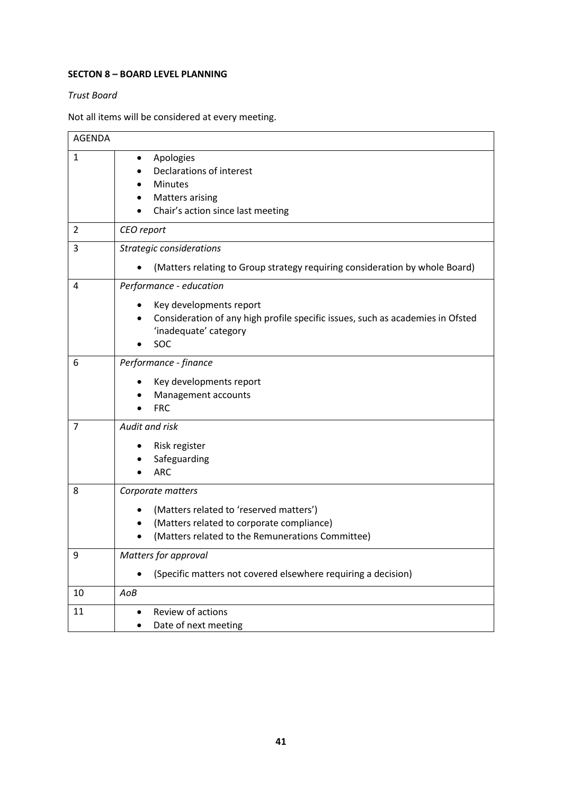# **SECTON 8 – BOARD LEVEL PLANNING**

#### *Trust Board*

Not all items will be considered at every meeting.

| <b>AGENDA</b> |                                                                                                                                                                                   |
|---------------|-----------------------------------------------------------------------------------------------------------------------------------------------------------------------------------|
| $\mathbf{1}$  | Apologies<br>$\bullet$<br>Declarations of interest<br><b>Minutes</b><br><b>Matters arising</b><br>Chair's action since last meeting                                               |
| 2             | CEO report                                                                                                                                                                        |
| 3             | Strategic considerations<br>(Matters relating to Group strategy requiring consideration by whole Board)                                                                           |
| 4             | Performance - education<br>Key developments report<br>$\bullet$<br>Consideration of any high profile specific issues, such as academies in Ofsted<br>'inadequate' category<br>SOC |
| 6             | Performance - finance<br>Key developments report<br>Management accounts<br><b>FRC</b>                                                                                             |
| 7             | Audit and risk<br>Risk register<br>Safeguarding<br><b>ARC</b>                                                                                                                     |
| 8             | Corporate matters<br>(Matters related to 'reserved matters')<br>$\bullet$<br>(Matters related to corporate compliance)<br>(Matters related to the Remunerations Committee)        |
| 9             | Matters for approval<br>(Specific matters not covered elsewhere requiring a decision)                                                                                             |
| 10            | AoB                                                                                                                                                                               |
| 11            | Review of actions<br>$\bullet$<br>Date of next meeting                                                                                                                            |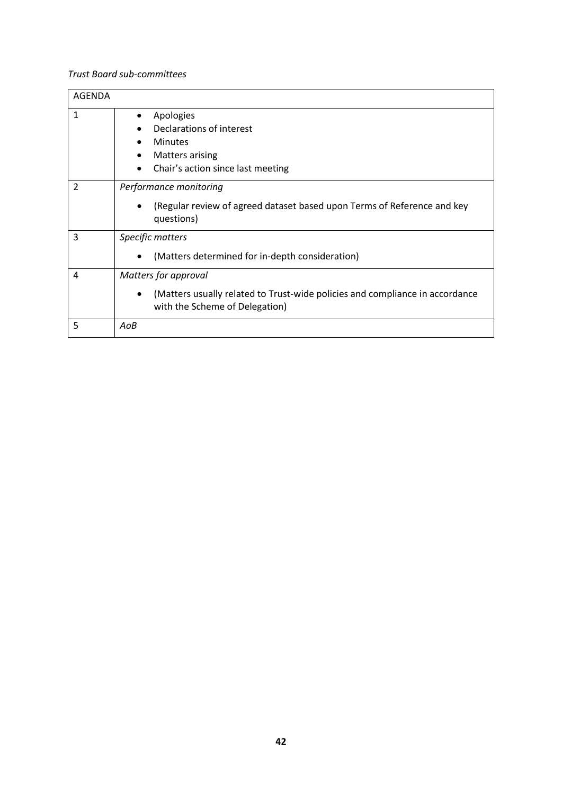# *Trust Board sub-committees*

| <b>AGENDA</b> |                                                                                                                                                     |
|---------------|-----------------------------------------------------------------------------------------------------------------------------------------------------|
| $\mathbf{1}$  | Apologies<br>٠<br>Declarations of interest<br><b>Minutes</b><br>٠<br><b>Matters arising</b><br>٠<br>Chair's action since last meeting<br>$\bullet$  |
| 2             | Performance monitoring<br>(Regular review of agreed dataset based upon Terms of Reference and key<br>$\bullet$<br>questions)                        |
| 3             | Specific matters<br>(Matters determined for in-depth consideration)<br>$\bullet$                                                                    |
| 4             | Matters for approval<br>(Matters usually related to Trust-wide policies and compliance in accordance<br>$\bullet$<br>with the Scheme of Delegation) |
| 5             | AoB                                                                                                                                                 |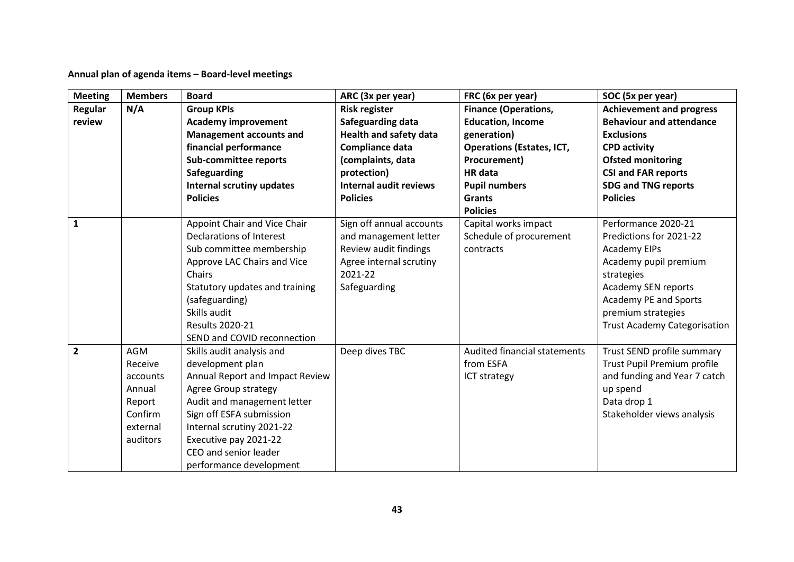**Annual plan of agenda items – Board-level meetings**

| <b>Meeting</b> | <b>Members</b> | <b>Board</b>                     | ARC (3x per year)             | FRC (6x per year)                | SOC (5x per year)                   |
|----------------|----------------|----------------------------------|-------------------------------|----------------------------------|-------------------------------------|
| <b>Regular</b> | N/A            | <b>Group KPIs</b>                | <b>Risk register</b>          | <b>Finance (Operations,</b>      | <b>Achievement and progress</b>     |
| review         |                | <b>Academy improvement</b>       | Safeguarding data             | <b>Education, Income</b>         | <b>Behaviour and attendance</b>     |
|                |                | <b>Management accounts and</b>   | <b>Health and safety data</b> | generation)                      | <b>Exclusions</b>                   |
|                |                | financial performance            | Compliance data               | <b>Operations (Estates, ICT,</b> | <b>CPD activity</b>                 |
|                |                | <b>Sub-committee reports</b>     | (complaints, data             | Procurement)                     | <b>Ofsted monitoring</b>            |
|                |                | Safeguarding                     | protection)                   | HR data                          | <b>CSI and FAR reports</b>          |
|                |                | <b>Internal scrutiny updates</b> | <b>Internal audit reviews</b> | <b>Pupil numbers</b>             | <b>SDG and TNG reports</b>          |
|                |                | <b>Policies</b>                  | <b>Policies</b>               | <b>Grants</b>                    | <b>Policies</b>                     |
|                |                |                                  |                               | <b>Policies</b>                  |                                     |
| $\mathbf{1}$   |                | Appoint Chair and Vice Chair     | Sign off annual accounts      | Capital works impact             | Performance 2020-21                 |
|                |                | Declarations of Interest         | and management letter         | Schedule of procurement          | Predictions for 2021-22             |
|                |                | Sub committee membership         | Review audit findings         | contracts                        | <b>Academy EIPs</b>                 |
|                |                | Approve LAC Chairs and Vice      | Agree internal scrutiny       |                                  | Academy pupil premium               |
|                |                | Chairs                           | 2021-22                       |                                  | strategies                          |
|                |                | Statutory updates and training   | Safeguarding                  |                                  | Academy SEN reports                 |
|                |                | (safeguarding)                   |                               |                                  | Academy PE and Sports               |
|                |                | Skills audit                     |                               |                                  | premium strategies                  |
|                |                | <b>Results 2020-21</b>           |                               |                                  | <b>Trust Academy Categorisation</b> |
|                |                | SEND and COVID reconnection      |                               |                                  |                                     |
| $\overline{2}$ | <b>AGM</b>     | Skills audit analysis and        | Deep dives TBC                | Audited financial statements     | Trust SEND profile summary          |
|                | Receive        | development plan                 |                               | from ESFA                        | Trust Pupil Premium profile         |
|                | accounts       | Annual Report and Impact Review  |                               | ICT strategy                     | and funding and Year 7 catch        |
|                | Annual         | Agree Group strategy             |                               |                                  | up spend                            |
|                | Report         | Audit and management letter      |                               |                                  | Data drop 1                         |
|                | Confirm        | Sign off ESFA submission         |                               |                                  | Stakeholder views analysis          |
|                | external       | Internal scrutiny 2021-22        |                               |                                  |                                     |
|                | auditors       | Executive pay 2021-22            |                               |                                  |                                     |
|                |                | CEO and senior leader            |                               |                                  |                                     |
|                |                | performance development          |                               |                                  |                                     |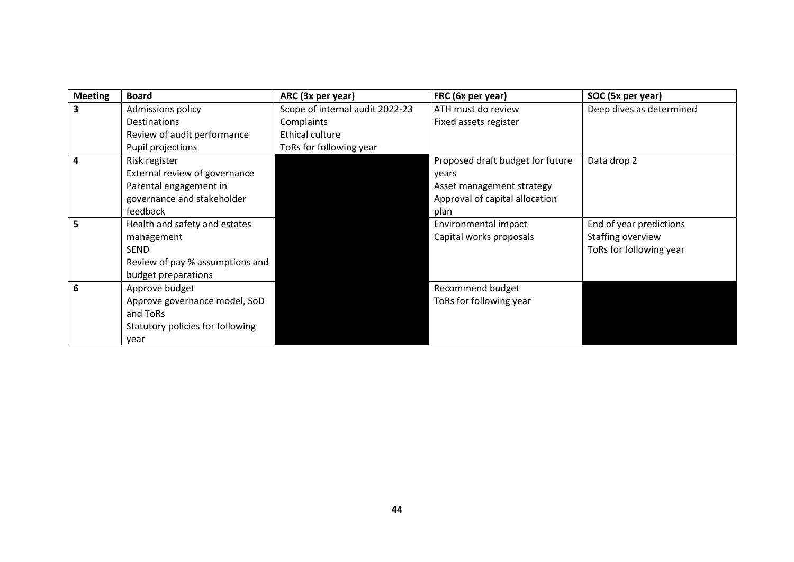| <b>Meeting</b> | <b>Board</b>                     | ARC (3x per year)               | FRC (6x per year)                | SOC (5x per year)        |
|----------------|----------------------------------|---------------------------------|----------------------------------|--------------------------|
| 3              | Admissions policy                | Scope of internal audit 2022-23 | ATH must do review               | Deep dives as determined |
|                | <b>Destinations</b>              | Complaints                      | Fixed assets register            |                          |
|                | Review of audit performance      | Ethical culture                 |                                  |                          |
|                | Pupil projections                | ToRs for following year         |                                  |                          |
| 4              | Risk register                    |                                 | Proposed draft budget for future | Data drop 2              |
|                | External review of governance    |                                 | years                            |                          |
|                | Parental engagement in           |                                 | Asset management strategy        |                          |
|                | governance and stakeholder       |                                 | Approval of capital allocation   |                          |
|                | feedback                         |                                 | plan                             |                          |
| 5.             | Health and safety and estates    |                                 | Environmental impact             | End of year predictions  |
|                | management                       |                                 | Capital works proposals          | Staffing overview        |
|                | SEND                             |                                 |                                  | ToRs for following year  |
|                | Review of pay % assumptions and  |                                 |                                  |                          |
|                | budget preparations              |                                 |                                  |                          |
| 6              | Approve budget                   |                                 | Recommend budget                 |                          |
|                | Approve governance model, SoD    |                                 | ToRs for following year          |                          |
|                | and ToRs                         |                                 |                                  |                          |
|                | Statutory policies for following |                                 |                                  |                          |
|                | year                             |                                 |                                  |                          |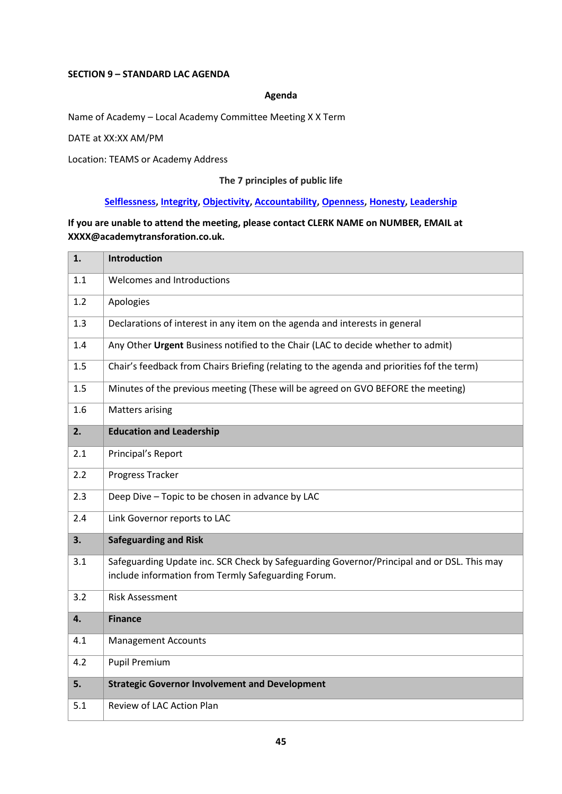#### **SECTION 9 – STANDARD LAC AGENDA**

#### **Agenda**

Name of Academy – Local Academy Committee Meeting X X Term

DATE at XX:XX AM/PM

Location: TEAMS or Academy Address

# **The 7 principles of public life**

# **[Selflessness,](https://www.gov.uk/government/publications/the-7-principles-of-public-life/the-7-principles-of-public-life--2#selflessness) [Integrity,](https://www.gov.uk/government/publications/the-7-principles-of-public-life/the-7-principles-of-public-life--2#integrity) [Objectivity,](https://www.gov.uk/government/publications/the-7-principles-of-public-life/the-7-principles-of-public-life--2#objectivity) [Accountability,](https://www.gov.uk/government/publications/the-7-principles-of-public-life/the-7-principles-of-public-life--2#accountability) [Openness,](https://www.gov.uk/government/publications/the-7-principles-of-public-life/the-7-principles-of-public-life--2#openness) [Honesty,](https://www.gov.uk/government/publications/the-7-principles-of-public-life/the-7-principles-of-public-life--2#honesty) [Leadership](https://www.gov.uk/government/publications/the-7-principles-of-public-life/the-7-principles-of-public-life--2#leadership)**

# **If you are unable to attend the meeting, please contact CLERK NAME on NUMBER, EMAIL at XXXX@academytransforation.co.uk.**

| 1.  | <b>Introduction</b>                                                                                                                               |
|-----|---------------------------------------------------------------------------------------------------------------------------------------------------|
| 1.1 | Welcomes and Introductions                                                                                                                        |
| 1.2 | Apologies                                                                                                                                         |
| 1.3 | Declarations of interest in any item on the agenda and interests in general                                                                       |
| 1.4 | Any Other Urgent Business notified to the Chair (LAC to decide whether to admit)                                                                  |
| 1.5 | Chair's feedback from Chairs Briefing (relating to the agenda and priorities fof the term)                                                        |
| 1.5 | Minutes of the previous meeting (These will be agreed on GVO BEFORE the meeting)                                                                  |
| 1.6 | <b>Matters arising</b>                                                                                                                            |
| 2.  | <b>Education and Leadership</b>                                                                                                                   |
| 2.1 | Principal's Report                                                                                                                                |
| 2.2 | Progress Tracker                                                                                                                                  |
| 2.3 | Deep Dive - Topic to be chosen in advance by LAC                                                                                                  |
| 2.4 | Link Governor reports to LAC                                                                                                                      |
| 3.  | <b>Safeguarding and Risk</b>                                                                                                                      |
| 3.1 | Safeguarding Update inc. SCR Check by Safeguarding Governor/Principal and or DSL. This may<br>include information from Termly Safeguarding Forum. |
| 3.2 | <b>Risk Assessment</b>                                                                                                                            |
| 4.  | <b>Finance</b>                                                                                                                                    |
| 4.1 | <b>Management Accounts</b>                                                                                                                        |
| 4.2 | <b>Pupil Premium</b>                                                                                                                              |
| 5.  | <b>Strategic Governor Involvement and Development</b>                                                                                             |
| 5.1 | Review of LAC Action Plan                                                                                                                         |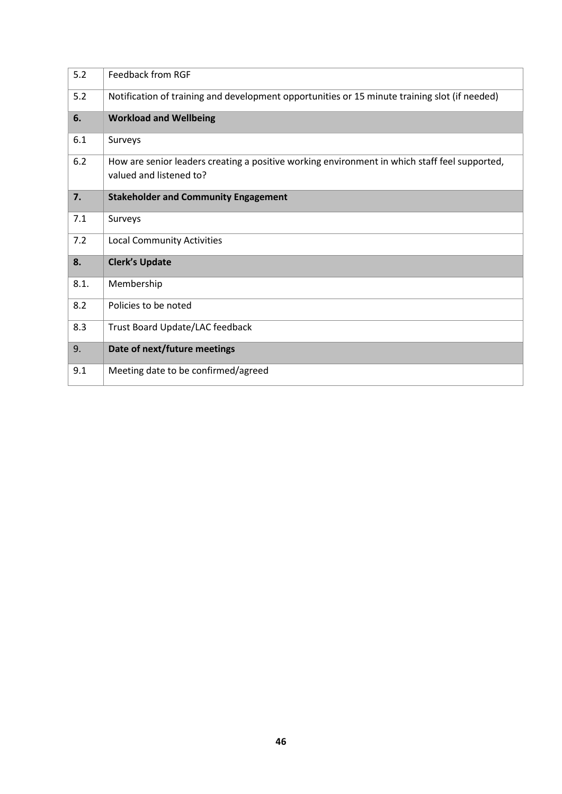| 5.2  | <b>Feedback from RGF</b>                                                                                                 |
|------|--------------------------------------------------------------------------------------------------------------------------|
| 5.2  | Notification of training and development opportunities or 15 minute training slot (if needed)                            |
| 6.   | <b>Workload and Wellbeing</b>                                                                                            |
| 6.1  | Surveys                                                                                                                  |
| 6.2  | How are senior leaders creating a positive working environment in which staff feel supported,<br>valued and listened to? |
| 7.   | <b>Stakeholder and Community Engagement</b>                                                                              |
| 7.1  | Surveys                                                                                                                  |
| 7.2  | <b>Local Community Activities</b>                                                                                        |
| 8.   | <b>Clerk's Update</b>                                                                                                    |
| 8.1. | Membership                                                                                                               |
| 8.2  | Policies to be noted                                                                                                     |
| 8.3  | Trust Board Update/LAC feedback                                                                                          |
| 9.   | Date of next/future meetings                                                                                             |
| 9.1  | Meeting date to be confirmed/agreed                                                                                      |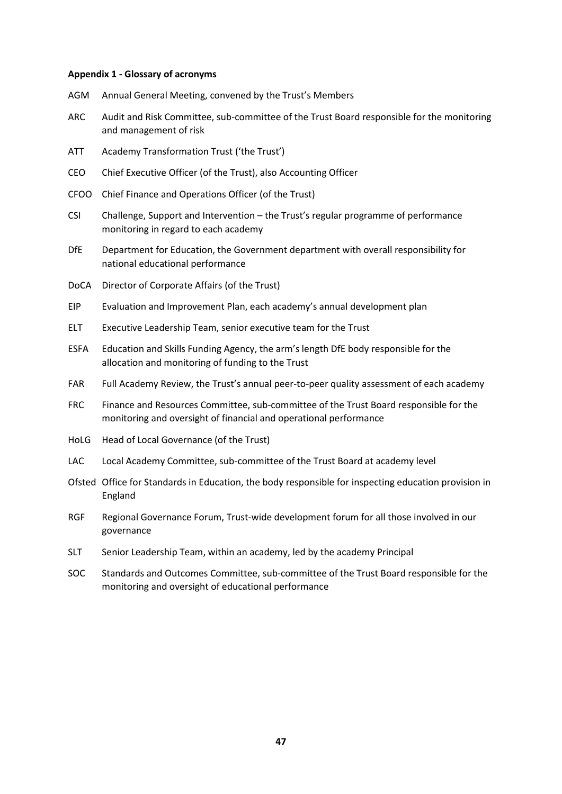#### **Appendix 1 - Glossary of acronyms**

- AGM Annual General Meeting, convened by the Trust's Members
- ARC Audit and Risk Committee, sub-committee of the Trust Board responsible for the monitoring and management of risk
- ATT Academy Transformation Trust ('the Trust')
- CEO Chief Executive Officer (of the Trust), also Accounting Officer
- CFOO Chief Finance and Operations Officer (of the Trust)
- CSI Challenge, Support and Intervention the Trust's regular programme of performance monitoring in regard to each academy
- DfE Department for Education, the Government department with overall responsibility for national educational performance
- DoCA Director of Corporate Affairs (of the Trust)
- EIP Evaluation and Improvement Plan, each academy's annual development plan
- ELT Executive Leadership Team, senior executive team for the Trust
- ESFA Education and Skills Funding Agency, the arm's length DfE body responsible for the allocation and monitoring of funding to the Trust
- FAR Full Academy Review, the Trust's annual peer-to-peer quality assessment of each academy
- FRC Finance and Resources Committee, sub-committee of the Trust Board responsible for the monitoring and oversight of financial and operational performance
- HoLG Head of Local Governance (of the Trust)
- LAC Local Academy Committee, sub-committee of the Trust Board at academy level
- Ofsted Office for Standards in Education, the body responsible for inspecting education provision in England
- RGF Regional Governance Forum, Trust-wide development forum for all those involved in our governance
- SLT Senior Leadership Team, within an academy, led by the academy Principal
- SOC Standards and Outcomes Committee, sub-committee of the Trust Board responsible for the monitoring and oversight of educational performance